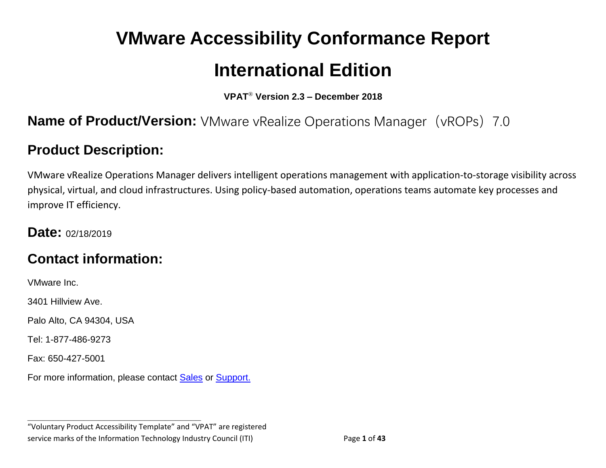# **VMware Accessibility Conformance Report International Edition**

**VPAT**® **Version 2.3 – December 2018**

### **Name of Product/Version:** VMware vRealize Operations Manager (vROPs) 7.0

# **Product Description:**

VMware vRealize Operations Manager delivers intelligent operations management with application-to-storage visibility across physical, virtual, and cloud infrastructures. Using policy-based automation, operations teams automate key processes and improve IT efficiency.

#### **Date:** 02/18/2019

### **Contact information:**

VMware Inc.

3401 Hillview Ave.

Palo Alto, CA 94304, USA

Tel: 1-877-486-9273

Fax: 650-427-5001

For more information, please contact [Sales](https://www.vmware.com/company/contact_sales.html) or [Support.](https://www.vmware.com/support/contacts.html)

**\_\_\_\_\_\_\_\_\_\_\_\_\_\_\_\_\_\_\_\_\_\_\_\_\_\_\_\_\_\_\_\_\_\_**

"Voluntary Product Accessibility Template" and "VPAT" are registered service marks of the Information Technology Industry Council (ITI) Page **1** of **43**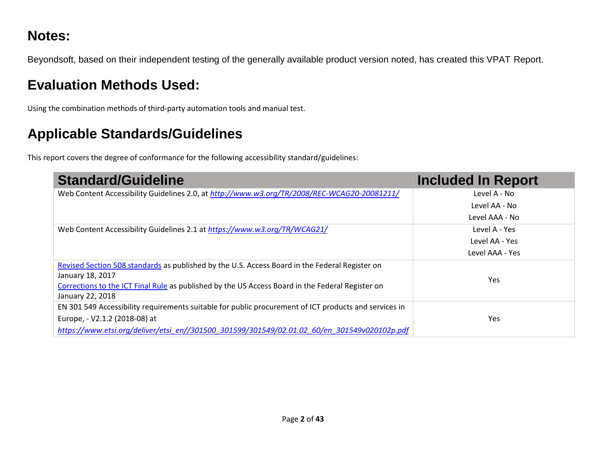# **Notes:**

Beyondsoft, based on their independent testing of the generally available product version noted, has created this VPAT Report.

# **Evaluation Methods Used:**

Using the combination methods of third-party automation tools and manual test.

# **Applicable Standards/Guidelines**

This report covers the degree of conformance for the following accessibility standard/guidelines:

| <b>Standard/Guideline</b>                                                                             | <b>Included In Report</b> |
|-------------------------------------------------------------------------------------------------------|---------------------------|
| Web Content Accessibility Guidelines 2.0, at http://www.w3.org/TR/2008/REC-WCAG20-20081211/           | Level A - No              |
|                                                                                                       | Level AA - No             |
|                                                                                                       | Level AAA - No            |
| Web Content Accessibility Guidelines 2.1 at https://www.w3.org/TR/WCAG21/                             | Level A - Yes             |
|                                                                                                       | Level AA - Yes            |
|                                                                                                       | Level AAA - Yes           |
| Revised Section 508 standards as published by the U.S. Access Board in the Federal Register on        |                           |
| January 18, 2017                                                                                      | <b>Yes</b>                |
| Corrections to the ICT Final Rule as published by the US Access Board in the Federal Register on      |                           |
| January 22, 2018                                                                                      |                           |
| EN 301 549 Accessibility requirements suitable for public procurement of ICT products and services in |                           |
| Europe, - V2.1.2 (2018-08) at                                                                         | Yes                       |
| https://www.etsi.org/deliver/etsi_en//301500_301599/301549/02.01.02_60/en_301549v020102p.pdf          |                           |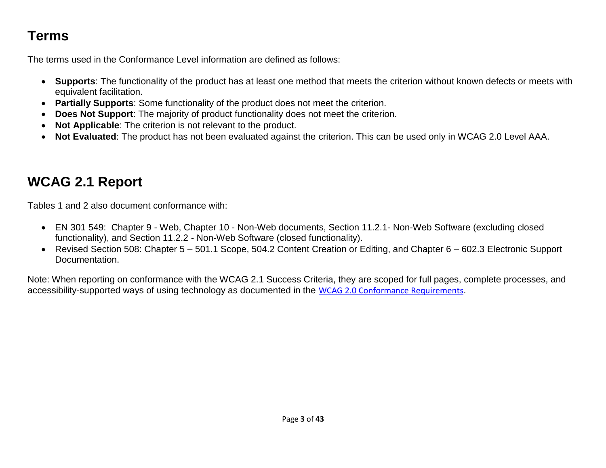# **Terms**

The terms used in the Conformance Level information are defined as follows:

- **Supports**: The functionality of the product has at least one method that meets the criterion without known defects or meets with equivalent facilitation.
- **Partially Supports**: Some functionality of the product does not meet the criterion.
- **Does Not Support**: The majority of product functionality does not meet the criterion.
- **Not Applicable**: The criterion is not relevant to the product.
- **Not Evaluated**: The product has not been evaluated against the criterion. This can be used only in WCAG 2.0 Level AAA.

# <span id="page-2-0"></span>**WCAG 2.1 Report**

Tables 1 and 2 also document conformance with:

- EN 301 549: Chapter 9 Web, Chapter 10 Non-Web documents, Section 11.2.1- Non-Web Software (excluding closed functionality), and Section 11.2.2 - Non-Web Software (closed functionality).
- Revised Section 508: Chapter 5 501.1 Scope, 504.2 Content Creation or Editing, and Chapter 6 602.3 Electronic Support Documentation.

Note: When reporting on conformance with the WCAG 2.1 Success Criteria, they are scoped for full pages, complete processes, and accessibility-supported ways of using technology as documented in the [WCAG 2.0 Conformance Requirements](https://www.w3.org/TR/WCAG20/#conformance-reqs).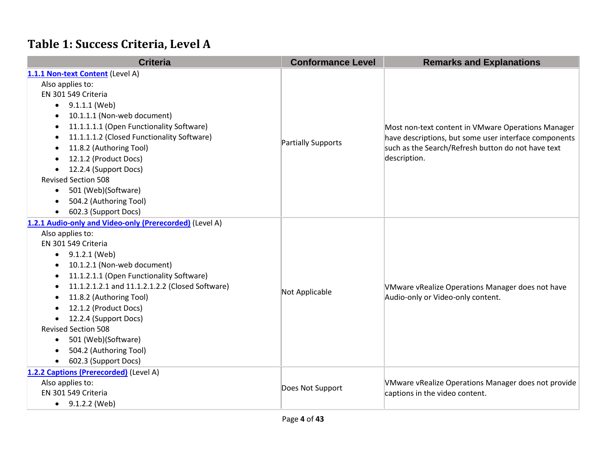# **Table 1: Success Criteria, Level A**

| <b>Criteria</b>                                         | <b>Conformance Level</b> | <b>Remarks and Explanations</b>                       |
|---------------------------------------------------------|--------------------------|-------------------------------------------------------|
| 1.1.1 Non-text Content (Level A)                        |                          |                                                       |
| Also applies to:                                        |                          |                                                       |
| EN 301 549 Criteria                                     |                          |                                                       |
| 9.1.1.1 (Web)<br>$\bullet$                              |                          |                                                       |
| 10.1.1.1 (Non-web document)<br>$\bullet$                |                          |                                                       |
| 11.1.1.1.1 (Open Functionality Software)<br>٠           |                          | Most non-text content in VMware Operations Manager    |
| 11.1.1.1.2 (Closed Functionality Software)              |                          | have descriptions, but some user interface components |
| 11.8.2 (Authoring Tool)<br>$\bullet$                    | Partially Supports       | such as the Search/Refresh button do not have text    |
| 12.1.2 (Product Docs)                                   |                          | description.                                          |
| 12.2.4 (Support Docs)                                   |                          |                                                       |
| <b>Revised Section 508</b>                              |                          |                                                       |
| 501 (Web)(Software)<br>$\bullet$                        |                          |                                                       |
| 504.2 (Authoring Tool)                                  |                          |                                                       |
| 602.3 (Support Docs)                                    |                          |                                                       |
| 1.2.1 Audio-only and Video-only (Prerecorded) (Level A) |                          |                                                       |
| Also applies to:                                        |                          |                                                       |
| EN 301 549 Criteria                                     |                          |                                                       |
| 9.1.2.1 (Web)<br>$\bullet$                              |                          |                                                       |
| 10.1.2.1 (Non-web document)                             |                          |                                                       |
| 11.1.2.1.1 (Open Functionality Software)<br>$\bullet$   |                          |                                                       |
| 11.1.2.1.2.1 and 11.1.2.1.2.2 (Closed Software)<br>٠    | Not Applicable           | VMware vRealize Operations Manager does not have      |
| 11.8.2 (Authoring Tool)                                 |                          | Audio-only or Video-only content.                     |
| 12.1.2 (Product Docs)                                   |                          |                                                       |
| 12.2.4 (Support Docs)<br>$\bullet$                      |                          |                                                       |
| <b>Revised Section 508</b>                              |                          |                                                       |
| 501 (Web)(Software)<br>٠                                |                          |                                                       |
| 504.2 (Authoring Tool)                                  |                          |                                                       |
| 602.3 (Support Docs)<br>$\bullet$                       |                          |                                                       |
| 1.2.2 Captions (Prerecorded) (Level A)                  |                          |                                                       |
| Also applies to:                                        | Does Not Support         | VMware vRealize Operations Manager does not provide   |
| EN 301 549 Criteria                                     |                          | captions in the video content.                        |
| $\bullet$ 9.1.2.2 (Web)                                 |                          |                                                       |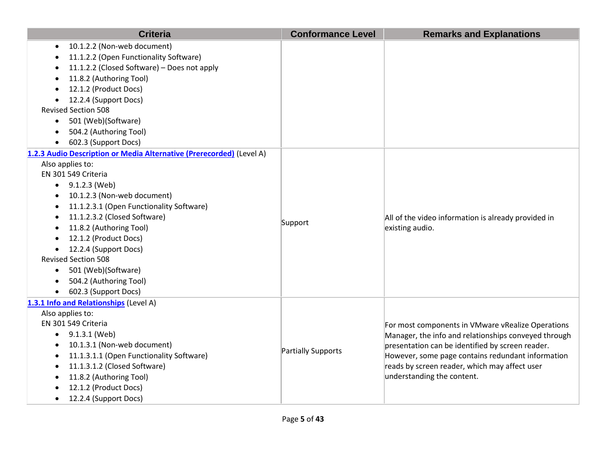| <b>Criteria</b>                                                      | <b>Conformance Level</b> | <b>Remarks and Explanations</b>                      |
|----------------------------------------------------------------------|--------------------------|------------------------------------------------------|
| 10.1.2.2 (Non-web document)                                          |                          |                                                      |
| 11.1.2.2 (Open Functionality Software)                               |                          |                                                      |
| 11.1.2.2 (Closed Software) - Does not apply                          |                          |                                                      |
| 11.8.2 (Authoring Tool)                                              |                          |                                                      |
| 12.1.2 (Product Docs)                                                |                          |                                                      |
| 12.2.4 (Support Docs)                                                |                          |                                                      |
| <b>Revised Section 508</b>                                           |                          |                                                      |
| 501 (Web)(Software)<br>$\bullet$                                     |                          |                                                      |
| 504.2 (Authoring Tool)                                               |                          |                                                      |
| 602.3 (Support Docs)<br>$\bullet$                                    |                          |                                                      |
| 1.2.3 Audio Description or Media Alternative (Prerecorded) (Level A) |                          |                                                      |
| Also applies to:                                                     |                          |                                                      |
| EN 301 549 Criteria                                                  |                          |                                                      |
| $\bullet$ 9.1.2.3 (Web)                                              |                          |                                                      |
| 10.1.2.3 (Non-web document)<br>$\bullet$                             |                          |                                                      |
| 11.1.2.3.1 (Open Functionality Software)<br>$\bullet$                |                          |                                                      |
| 11.1.2.3.2 (Closed Software)                                         | Support                  | All of the video information is already provided in  |
| 11.8.2 (Authoring Tool)                                              |                          | existing audio.                                      |
| 12.1.2 (Product Docs)                                                |                          |                                                      |
| 12.2.4 (Support Docs)                                                |                          |                                                      |
| <b>Revised Section 508</b>                                           |                          |                                                      |
| 501 (Web)(Software)<br>$\bullet$                                     |                          |                                                      |
| 504.2 (Authoring Tool)<br>$\bullet$                                  |                          |                                                      |
| 602.3 (Support Docs)<br>$\bullet$                                    |                          |                                                      |
| 1.3.1 Info and Relationships (Level A)                               |                          |                                                      |
| Also applies to:                                                     |                          |                                                      |
| EN 301 549 Criteria                                                  |                          | For most components in VMware vRealize Operations    |
| 9.1.3.1 (Web)                                                        |                          | Manager, the info and relationships conveyed through |
| 10.1.3.1 (Non-web document)                                          | Partially Supports       | presentation can be identified by screen reader.     |
| 11.1.3.1.1 (Open Functionality Software)                             |                          | However, some page contains redundant information    |
| 11.1.3.1.2 (Closed Software)<br>$\bullet$                            |                          | reads by screen reader, which may affect user        |
| 11.8.2 (Authoring Tool)                                              |                          | understanding the content.                           |
| 12.1.2 (Product Docs)                                                |                          |                                                      |
| 12.2.4 (Support Docs)                                                |                          |                                                      |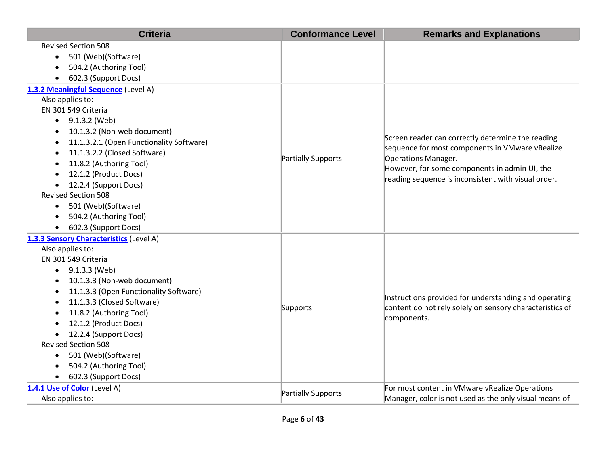| <b>Criteria</b>                                     | <b>Conformance Level</b> | <b>Remarks and Explanations</b>                                                                                   |
|-----------------------------------------------------|--------------------------|-------------------------------------------------------------------------------------------------------------------|
| <b>Revised Section 508</b>                          |                          |                                                                                                                   |
| 501 (Web)(Software)<br>$\bullet$                    |                          |                                                                                                                   |
| 504.2 (Authoring Tool)                              |                          |                                                                                                                   |
| 602.3 (Support Docs)                                |                          |                                                                                                                   |
| 1.3.2 Meaningful Sequence (Level A)                 |                          |                                                                                                                   |
| Also applies to:                                    |                          |                                                                                                                   |
| EN 301 549 Criteria                                 |                          |                                                                                                                   |
| $\bullet$ 9.1.3.2 (Web)                             |                          |                                                                                                                   |
| 10.1.3.2 (Non-web document)                         |                          |                                                                                                                   |
| 11.1.3.2.1 (Open Functionality Software)            |                          | Screen reader can correctly determine the reading<br>sequence for most components in VMware vRealize              |
| 11.1.3.2.2 (Closed Software)                        | Partially Supports       | Operations Manager.                                                                                               |
| 11.8.2 (Authoring Tool)                             |                          | However, for some components in admin UI, the                                                                     |
| 12.1.2 (Product Docs)                               |                          | reading sequence is inconsistent with visual order.                                                               |
| 12.2.4 (Support Docs)                               |                          |                                                                                                                   |
| <b>Revised Section 508</b>                          |                          |                                                                                                                   |
| 501 (Web)(Software)<br>$\bullet$                    |                          |                                                                                                                   |
| 504.2 (Authoring Tool)                              |                          |                                                                                                                   |
| 602.3 (Support Docs)                                |                          |                                                                                                                   |
| 1.3.3 Sensory Characteristics (Level A)             |                          |                                                                                                                   |
| Also applies to:                                    |                          |                                                                                                                   |
| EN 301 549 Criteria                                 |                          |                                                                                                                   |
| 9.1.3.3 (Web)<br>$\bullet$                          |                          |                                                                                                                   |
| 10.1.3.3 (Non-web document)                         |                          |                                                                                                                   |
| 11.1.3.3 (Open Functionality Software)<br>$\bullet$ |                          |                                                                                                                   |
| 11.1.3.3 (Closed Software)                          | Supports                 | Instructions provided for understanding and operating<br>content do not rely solely on sensory characteristics of |
| 11.8.2 (Authoring Tool)                             |                          | components.                                                                                                       |
| 12.1.2 (Product Docs)                               |                          |                                                                                                                   |
| 12.2.4 (Support Docs)                               |                          |                                                                                                                   |
| <b>Revised Section 508</b>                          |                          |                                                                                                                   |
| 501 (Web)(Software)<br>$\bullet$                    |                          |                                                                                                                   |
| 504.2 (Authoring Tool)                              |                          |                                                                                                                   |
| 602.3 (Support Docs)<br>$\bullet$                   |                          |                                                                                                                   |
| 1.4.1 Use of Color (Level A)                        | Partially Supports       | For most content in VMware vRealize Operations                                                                    |
| Also applies to:                                    |                          | Manager, color is not used as the only visual means of                                                            |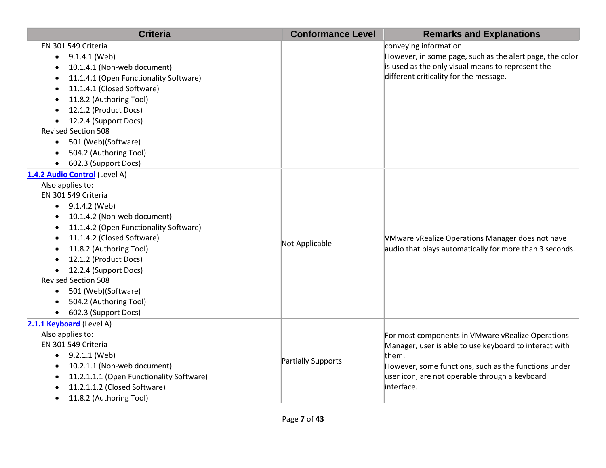| <b>Criteria</b>                                       | <b>Conformance Level</b> | <b>Remarks and Explanations</b>                          |
|-------------------------------------------------------|--------------------------|----------------------------------------------------------|
| EN 301 549 Criteria                                   |                          | conveying information.                                   |
| 9.1.4.1 (Web)                                         |                          | However, in some page, such as the alert page, the color |
| 10.1.4.1 (Non-web document)                           |                          | is used as the only visual means to represent the        |
| 11.1.4.1 (Open Functionality Software)                |                          | different criticality for the message.                   |
| 11.1.4.1 (Closed Software)<br>$\bullet$               |                          |                                                          |
| 11.8.2 (Authoring Tool)<br>$\bullet$                  |                          |                                                          |
| 12.1.2 (Product Docs)                                 |                          |                                                          |
| 12.2.4 (Support Docs)                                 |                          |                                                          |
| <b>Revised Section 508</b>                            |                          |                                                          |
| 501 (Web)(Software)                                   |                          |                                                          |
| 504.2 (Authoring Tool)                                |                          |                                                          |
| 602.3 (Support Docs)                                  |                          |                                                          |
| 1.4.2 Audio Control (Level A)                         |                          |                                                          |
| Also applies to:                                      |                          |                                                          |
| EN 301 549 Criteria                                   |                          |                                                          |
| $\bullet$ 9.1.4.2 (Web)                               |                          |                                                          |
| 10.1.4.2 (Non-web document)<br>$\bullet$              |                          |                                                          |
| 11.1.4.2 (Open Functionality Software)                |                          |                                                          |
| 11.1.4.2 (Closed Software)                            |                          | VMware vRealize Operations Manager does not have         |
| 11.8.2 (Authoring Tool)                               | Not Applicable           | audio that plays automatically for more than 3 seconds.  |
| 12.1.2 (Product Docs)                                 |                          |                                                          |
| 12.2.4 (Support Docs)                                 |                          |                                                          |
| <b>Revised Section 508</b>                            |                          |                                                          |
| 501 (Web)(Software)<br>$\bullet$                      |                          |                                                          |
| 504.2 (Authoring Tool)                                |                          |                                                          |
| 602.3 (Support Docs)                                  |                          |                                                          |
| 2.1.1 Keyboard (Level A)                              |                          |                                                          |
| Also applies to:                                      |                          | For most components in VMware vRealize Operations        |
| EN 301 549 Criteria                                   |                          | Manager, user is able to use keyboard to interact with   |
| $\bullet$ 9.2.1.1 (Web)                               | Partially Supports       | them.                                                    |
| 10.2.1.1 (Non-web document)<br>$\bullet$              |                          | However, some functions, such as the functions under     |
| 11.2.1.1.1 (Open Functionality Software)<br>$\bullet$ |                          | user icon, are not operable through a keyboard           |
| 11.2.1.1.2 (Closed Software)                          |                          | interface.                                               |
| 11.8.2 (Authoring Tool)                               |                          |                                                          |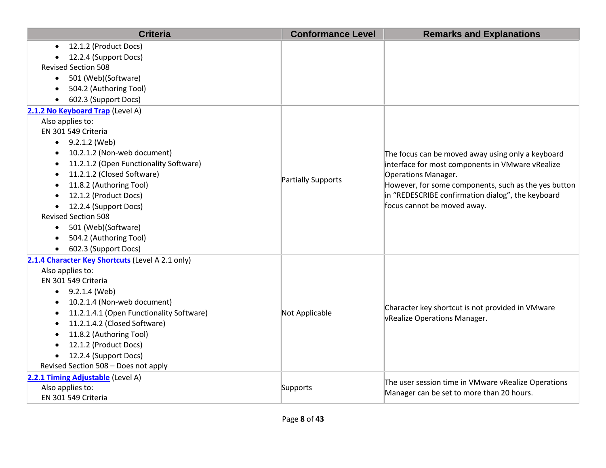| <b>Criteria</b>                                  | <b>Conformance Level</b> | <b>Remarks and Explanations</b>                                                                           |
|--------------------------------------------------|--------------------------|-----------------------------------------------------------------------------------------------------------|
| 12.1.2 (Product Docs)<br>$\bullet$               |                          |                                                                                                           |
| 12.2.4 (Support Docs)                            |                          |                                                                                                           |
| <b>Revised Section 508</b>                       |                          |                                                                                                           |
| 501 (Web)(Software)<br>$\bullet$                 |                          |                                                                                                           |
| 504.2 (Authoring Tool)                           |                          |                                                                                                           |
| 602.3 (Support Docs)<br>$\bullet$                |                          |                                                                                                           |
| 2.1.2 No Keyboard Trap (Level A)                 |                          |                                                                                                           |
| Also applies to:                                 |                          |                                                                                                           |
| EN 301 549 Criteria                              |                          |                                                                                                           |
| 9.2.1.2 (Web)                                    |                          |                                                                                                           |
| 10.2.1.2 (Non-web document)                      |                          | The focus can be moved away using only a keyboard                                                         |
| 11.2.1.2 (Open Functionality Software)           |                          | interface for most components in VMware vRealize                                                          |
| 11.2.1.2 (Closed Software)                       | Partially Supports       | Operations Manager.                                                                                       |
| 11.8.2 (Authoring Tool)<br>$\bullet$             |                          | However, for some components, such as the yes button<br>in "REDESCRIBE confirmation dialog", the keyboard |
| 12.1.2 (Product Docs)                            |                          |                                                                                                           |
| 12.2.4 (Support Docs)<br>$\bullet$               |                          | focus cannot be moved away.                                                                               |
| <b>Revised Section 508</b>                       |                          |                                                                                                           |
| 501 (Web)(Software)<br>$\bullet$                 |                          |                                                                                                           |
| 504.2 (Authoring Tool)                           |                          |                                                                                                           |
| 602.3 (Support Docs)                             |                          |                                                                                                           |
| 2.1.4 Character Key Shortcuts (Level A 2.1 only) |                          |                                                                                                           |
| Also applies to:                                 |                          |                                                                                                           |
| EN 301 549 Criteria                              |                          |                                                                                                           |
| $\bullet$ 9.2.1.4 (Web)                          |                          |                                                                                                           |
| 10.2.1.4 (Non-web document)                      |                          | Character key shortcut is not provided in VMware                                                          |
| 11.2.1.4.1 (Open Functionality Software)         | Not Applicable           | vRealize Operations Manager.                                                                              |
| 11.2.1.4.2 (Closed Software)                     |                          |                                                                                                           |
| 11.8.2 (Authoring Tool)                          |                          |                                                                                                           |
| 12.1.2 (Product Docs)                            |                          |                                                                                                           |
| 12.2.4 (Support Docs)<br>$\bullet$               |                          |                                                                                                           |
| Revised Section 508 - Does not apply             |                          |                                                                                                           |
| 2.2.1 Timing Adjustable (Level A)                |                          | The user session time in VMware vRealize Operations                                                       |
| Also applies to:                                 | Supports                 | Manager can be set to more than 20 hours.                                                                 |
| EN 301 549 Criteria                              |                          |                                                                                                           |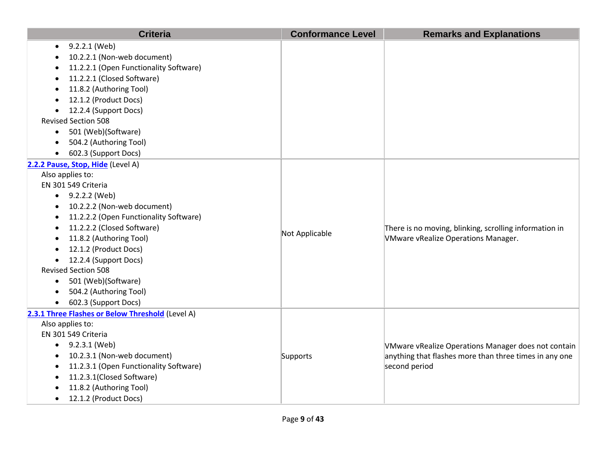| 9.2.2.1 (Web)<br>10.2.2.1 (Non-web document)<br>11.2.2.1 (Open Functionality Software)<br>11.2.2.1 (Closed Software)<br>11.8.2 (Authoring Tool)<br>12.1.2 (Product Docs)<br>12.2.4 (Support Docs)<br><b>Revised Section 508</b><br>501 (Web)(Software)<br>$\bullet$<br>504.2 (Authoring Tool)<br>602.3 (Support Docs)<br>2.2.2 Pause, Stop, Hide (Level A)<br>Also applies to:<br>EN 301 549 Criteria<br>$\bullet$ 9.2.2.2 (Web)<br>10.2.2.2 (Non-web document)<br>$\bullet$<br>11.2.2.2 (Open Functionality Software)<br>11.2.2.2 (Closed Software)<br>There is no moving, blinking, scrolling information in<br>Not Applicable<br>11.8.2 (Authoring Tool)<br>VMware vRealize Operations Manager.<br>12.1.2 (Product Docs)<br>12.2.4 (Support Docs)<br><b>Revised Section 508</b> | <b>Criteria</b> | <b>Conformance Level</b> | <b>Remarks and Explanations</b> |
|------------------------------------------------------------------------------------------------------------------------------------------------------------------------------------------------------------------------------------------------------------------------------------------------------------------------------------------------------------------------------------------------------------------------------------------------------------------------------------------------------------------------------------------------------------------------------------------------------------------------------------------------------------------------------------------------------------------------------------------------------------------------------------|-----------------|--------------------------|---------------------------------|
|                                                                                                                                                                                                                                                                                                                                                                                                                                                                                                                                                                                                                                                                                                                                                                                    |                 |                          |                                 |
|                                                                                                                                                                                                                                                                                                                                                                                                                                                                                                                                                                                                                                                                                                                                                                                    |                 |                          |                                 |
|                                                                                                                                                                                                                                                                                                                                                                                                                                                                                                                                                                                                                                                                                                                                                                                    |                 |                          |                                 |
|                                                                                                                                                                                                                                                                                                                                                                                                                                                                                                                                                                                                                                                                                                                                                                                    |                 |                          |                                 |
|                                                                                                                                                                                                                                                                                                                                                                                                                                                                                                                                                                                                                                                                                                                                                                                    |                 |                          |                                 |
|                                                                                                                                                                                                                                                                                                                                                                                                                                                                                                                                                                                                                                                                                                                                                                                    |                 |                          |                                 |
|                                                                                                                                                                                                                                                                                                                                                                                                                                                                                                                                                                                                                                                                                                                                                                                    |                 |                          |                                 |
|                                                                                                                                                                                                                                                                                                                                                                                                                                                                                                                                                                                                                                                                                                                                                                                    |                 |                          |                                 |
|                                                                                                                                                                                                                                                                                                                                                                                                                                                                                                                                                                                                                                                                                                                                                                                    |                 |                          |                                 |
|                                                                                                                                                                                                                                                                                                                                                                                                                                                                                                                                                                                                                                                                                                                                                                                    |                 |                          |                                 |
|                                                                                                                                                                                                                                                                                                                                                                                                                                                                                                                                                                                                                                                                                                                                                                                    |                 |                          |                                 |
|                                                                                                                                                                                                                                                                                                                                                                                                                                                                                                                                                                                                                                                                                                                                                                                    |                 |                          |                                 |
|                                                                                                                                                                                                                                                                                                                                                                                                                                                                                                                                                                                                                                                                                                                                                                                    |                 |                          |                                 |
|                                                                                                                                                                                                                                                                                                                                                                                                                                                                                                                                                                                                                                                                                                                                                                                    |                 |                          |                                 |
|                                                                                                                                                                                                                                                                                                                                                                                                                                                                                                                                                                                                                                                                                                                                                                                    |                 |                          |                                 |
|                                                                                                                                                                                                                                                                                                                                                                                                                                                                                                                                                                                                                                                                                                                                                                                    |                 |                          |                                 |
|                                                                                                                                                                                                                                                                                                                                                                                                                                                                                                                                                                                                                                                                                                                                                                                    |                 |                          |                                 |
|                                                                                                                                                                                                                                                                                                                                                                                                                                                                                                                                                                                                                                                                                                                                                                                    |                 |                          |                                 |
|                                                                                                                                                                                                                                                                                                                                                                                                                                                                                                                                                                                                                                                                                                                                                                                    |                 |                          |                                 |
|                                                                                                                                                                                                                                                                                                                                                                                                                                                                                                                                                                                                                                                                                                                                                                                    |                 |                          |                                 |
|                                                                                                                                                                                                                                                                                                                                                                                                                                                                                                                                                                                                                                                                                                                                                                                    |                 |                          |                                 |
|                                                                                                                                                                                                                                                                                                                                                                                                                                                                                                                                                                                                                                                                                                                                                                                    |                 |                          |                                 |
| 501 (Web)(Software)<br>$\bullet$                                                                                                                                                                                                                                                                                                                                                                                                                                                                                                                                                                                                                                                                                                                                                   |                 |                          |                                 |
| 504.2 (Authoring Tool)                                                                                                                                                                                                                                                                                                                                                                                                                                                                                                                                                                                                                                                                                                                                                             |                 |                          |                                 |
| 602.3 (Support Docs)                                                                                                                                                                                                                                                                                                                                                                                                                                                                                                                                                                                                                                                                                                                                                               |                 |                          |                                 |
| 2.3.1 Three Flashes or Below Threshold (Level A)                                                                                                                                                                                                                                                                                                                                                                                                                                                                                                                                                                                                                                                                                                                                   |                 |                          |                                 |
| Also applies to:                                                                                                                                                                                                                                                                                                                                                                                                                                                                                                                                                                                                                                                                                                                                                                   |                 |                          |                                 |
| EN 301 549 Criteria                                                                                                                                                                                                                                                                                                                                                                                                                                                                                                                                                                                                                                                                                                                                                                |                 |                          |                                 |
| 9.2.3.1 (Web)<br>VMware vRealize Operations Manager does not contain                                                                                                                                                                                                                                                                                                                                                                                                                                                                                                                                                                                                                                                                                                               |                 |                          |                                 |
| 10.2.3.1 (Non-web document)<br>anything that flashes more than three times in any one<br>Supports                                                                                                                                                                                                                                                                                                                                                                                                                                                                                                                                                                                                                                                                                  |                 |                          |                                 |
| 11.2.3.1 (Open Functionality Software)<br>second period                                                                                                                                                                                                                                                                                                                                                                                                                                                                                                                                                                                                                                                                                                                            |                 |                          |                                 |
| 11.2.3.1(Closed Software)<br>11.8.2 (Authoring Tool)                                                                                                                                                                                                                                                                                                                                                                                                                                                                                                                                                                                                                                                                                                                               |                 |                          |                                 |
| 12.1.2 (Product Docs)                                                                                                                                                                                                                                                                                                                                                                                                                                                                                                                                                                                                                                                                                                                                                              |                 |                          |                                 |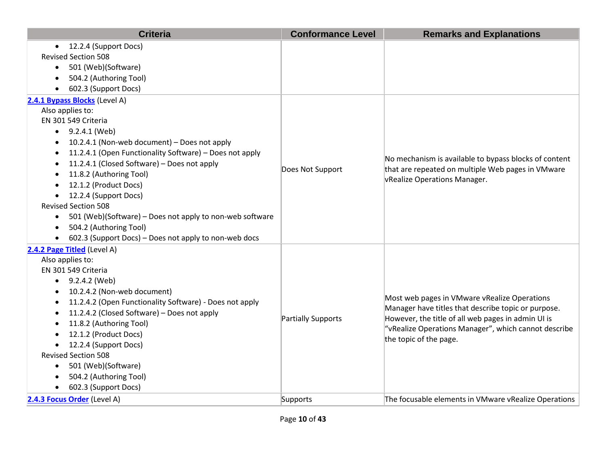| <b>Criteria</b>                                                                                                                                                                                                                                                                                                                                                                                                                                                                                                                                                | <b>Conformance Level</b> | <b>Remarks and Explanations</b>                                                                                                                                                                                                             |
|----------------------------------------------------------------------------------------------------------------------------------------------------------------------------------------------------------------------------------------------------------------------------------------------------------------------------------------------------------------------------------------------------------------------------------------------------------------------------------------------------------------------------------------------------------------|--------------------------|---------------------------------------------------------------------------------------------------------------------------------------------------------------------------------------------------------------------------------------------|
| 12.2.4 (Support Docs)<br>$\bullet$<br><b>Revised Section 508</b><br>501 (Web)(Software)<br>$\bullet$<br>504.2 (Authoring Tool)<br>602.3 (Support Docs)                                                                                                                                                                                                                                                                                                                                                                                                         |                          |                                                                                                                                                                                                                                             |
| 2.4.1 Bypass Blocks (Level A)<br>Also applies to:<br>EN 301 549 Criteria<br>$\bullet$ 9.2.4.1 (Web)<br>10.2.4.1 (Non-web document) - Does not apply<br>11.2.4.1 (Open Functionality Software) - Does not apply<br>11.2.4.1 (Closed Software) - Does not apply<br>11.8.2 (Authoring Tool)<br>12.1.2 (Product Docs)<br>12.2.4 (Support Docs)<br>$\bullet$<br><b>Revised Section 508</b><br>501 (Web)(Software) - Does not apply to non-web software<br>$\bullet$<br>504.2 (Authoring Tool)<br>$\bullet$<br>602.3 (Support Docs) - Does not apply to non-web docs | Does Not Support         | No mechanism is available to bypass blocks of content<br>that are repeated on multiple Web pages in VMware<br>vRealize Operations Manager.                                                                                                  |
| 2.4.2 Page Titled (Level A)<br>Also applies to:<br>EN 301 549 Criteria<br>$\bullet$ 9.2.4.2 (Web)<br>10.2.4.2 (Non-web document)<br>11.2.4.2 (Open Functionality Software) - Does not apply<br>$\bullet$<br>11.2.4.2 (Closed Software) - Does not apply<br>11.8.2 (Authoring Tool)<br>12.1.2 (Product Docs)<br>12.2.4 (Support Docs)<br><b>Revised Section 508</b><br>501 (Web)(Software)<br>$\bullet$<br>504.2 (Authoring Tool)<br>602.3 (Support Docs)                                                                                                       | Partially Supports       | Most web pages in VMware vRealize Operations<br>Manager have titles that describe topic or purpose.<br>However, the title of all web pages in admin UI is<br>"vRealize Operations Manager", which cannot describe<br>the topic of the page. |
| 2.4.3 Focus Order (Level A)                                                                                                                                                                                                                                                                                                                                                                                                                                                                                                                                    | Supports                 | The focusable elements in VMware vRealize Operations                                                                                                                                                                                        |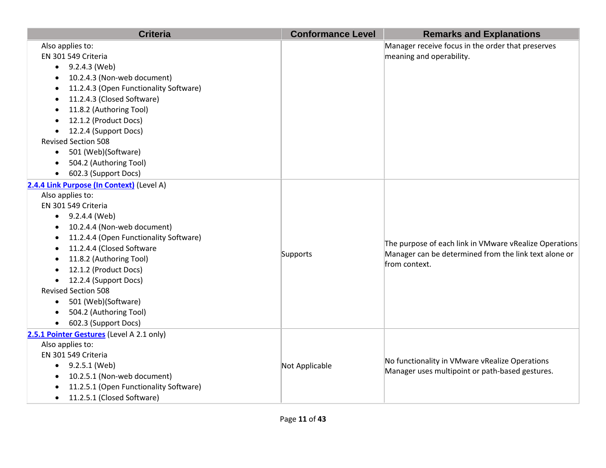| <b>Criteria</b>                                                                                                                                                                                                                                                                                                                                                                                                                                  | <b>Conformance Level</b> | <b>Remarks and Explanations</b>                                                                                                  |
|--------------------------------------------------------------------------------------------------------------------------------------------------------------------------------------------------------------------------------------------------------------------------------------------------------------------------------------------------------------------------------------------------------------------------------------------------|--------------------------|----------------------------------------------------------------------------------------------------------------------------------|
| Also applies to:<br>EN 301 549 Criteria<br>$\bullet$ 9.2.4.3 (Web)<br>10.2.4.3 (Non-web document)<br>11.2.4.3 (Open Functionality Software)<br>11.2.4.3 (Closed Software)<br>11.8.2 (Authoring Tool)<br>٠<br>12.1.2 (Product Docs)<br>12.2.4 (Support Docs)<br>$\bullet$<br><b>Revised Section 508</b><br>501 (Web)(Software)<br>504.2 (Authoring Tool)<br>602.3 (Support Docs)                                                                  |                          | Manager receive focus in the order that preserves<br>meaning and operability.                                                    |
| 2.4.4 Link Purpose (In Context) (Level A)<br>Also applies to:<br>EN 301 549 Criteria<br>$\bullet$ 9.2.4.4 (Web)<br>10.2.4.4 (Non-web document)<br>$\bullet$<br>11.2.4.4 (Open Functionality Software)<br>11.2.4.4 (Closed Software<br>11.8.2 (Authoring Tool)<br>12.1.2 (Product Docs)<br>12.2.4 (Support Docs)<br><b>Revised Section 508</b><br>501 (Web)(Software)<br>$\bullet$<br>504.2 (Authoring Tool)<br>602.3 (Support Docs)<br>$\bullet$ | Supports                 | The purpose of each link in VMware vRealize Operations<br>Manager can be determined from the link text alone or<br>from context. |
| 2.5.1 Pointer Gestures (Level A 2.1 only)<br>Also applies to:<br>EN 301 549 Criteria<br>$\bullet$ 9.2.5.1 (Web)<br>10.2.5.1 (Non-web document)<br>11.2.5.1 (Open Functionality Software)<br>11.2.5.1 (Closed Software)<br>$\bullet$                                                                                                                                                                                                              | Not Applicable           | No functionality in VMware vRealize Operations<br>Manager uses multipoint or path-based gestures.                                |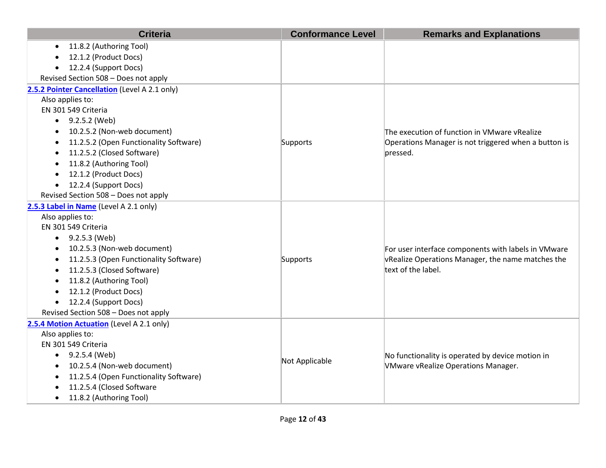| <b>Criteria</b>                                     | <b>Conformance Level</b> | <b>Remarks and Explanations</b>                      |
|-----------------------------------------------------|--------------------------|------------------------------------------------------|
| 11.8.2 (Authoring Tool)<br>$\bullet$                |                          |                                                      |
| 12.1.2 (Product Docs)                               |                          |                                                      |
| 12.2.4 (Support Docs)<br>$\bullet$                  |                          |                                                      |
| Revised Section 508 - Does not apply                |                          |                                                      |
| 2.5.2 Pointer Cancellation (Level A 2.1 only)       |                          |                                                      |
| Also applies to:                                    |                          |                                                      |
| EN 301 549 Criteria                                 |                          |                                                      |
| $\bullet$ 9.2.5.2 (Web)                             |                          |                                                      |
| 10.2.5.2 (Non-web document)                         |                          | The execution of function in VMware vRealize         |
| 11.2.5.2 (Open Functionality Software)              | Supports                 | Operations Manager is not triggered when a button is |
| 11.2.5.2 (Closed Software)                          |                          | pressed.                                             |
| 11.8.2 (Authoring Tool)                             |                          |                                                      |
| 12.1.2 (Product Docs)<br>$\bullet$                  |                          |                                                      |
| 12.2.4 (Support Docs)<br>$\bullet$                  |                          |                                                      |
| Revised Section 508 - Does not apply                |                          |                                                      |
| 2.5.3 Label in Name (Level A 2.1 only)              |                          |                                                      |
| Also applies to:                                    |                          |                                                      |
| EN 301 549 Criteria                                 |                          |                                                      |
| 9.2.5.3 (Web)                                       |                          |                                                      |
| 10.2.5.3 (Non-web document)<br>$\bullet$            |                          | For user interface components with labels in VMware  |
| 11.2.5.3 (Open Functionality Software)              | Supports                 | vRealize Operations Manager, the name matches the    |
| 11.2.5.3 (Closed Software)<br>$\bullet$             |                          | text of the label.                                   |
| 11.8.2 (Authoring Tool)<br>$\bullet$                |                          |                                                      |
| 12.1.2 (Product Docs)<br>$\bullet$                  |                          |                                                      |
| 12.2.4 (Support Docs)<br>$\bullet$                  |                          |                                                      |
| Revised Section 508 - Does not apply                |                          |                                                      |
| 2.5.4 Motion Actuation (Level A 2.1 only)           |                          |                                                      |
| Also applies to:                                    |                          |                                                      |
| EN 301 549 Criteria                                 |                          |                                                      |
| 9.2.5.4 (Web)<br>$\bullet$                          | Not Applicable           | No functionality is operated by device motion in     |
| 10.2.5.4 (Non-web document)                         |                          | <b>VMware vRealize Operations Manager.</b>           |
| 11.2.5.4 (Open Functionality Software)<br>$\bullet$ |                          |                                                      |
| 11.2.5.4 (Closed Software                           |                          |                                                      |
| 11.8.2 (Authoring Tool)<br>$\bullet$                |                          |                                                      |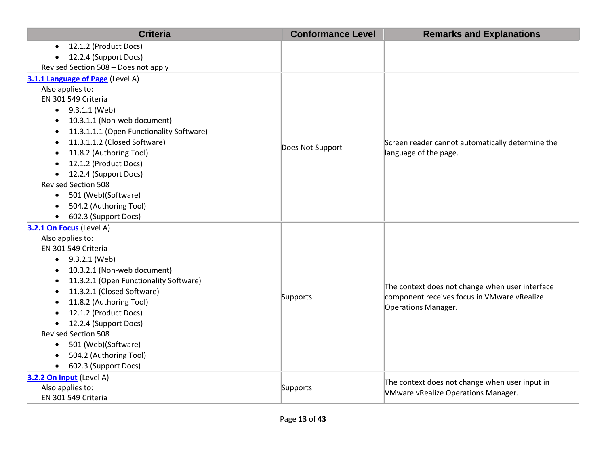| <b>Criteria</b>                                     | <b>Conformance Level</b> | <b>Remarks and Explanations</b>                                                                                       |
|-----------------------------------------------------|--------------------------|-----------------------------------------------------------------------------------------------------------------------|
| 12.1.2 (Product Docs)                               |                          |                                                                                                                       |
| 12.2.4 (Support Docs)                               |                          |                                                                                                                       |
| Revised Section 508 - Does not apply                |                          |                                                                                                                       |
| 3.1.1 Language of Page (Level A)                    |                          |                                                                                                                       |
| Also applies to:                                    |                          |                                                                                                                       |
| EN 301 549 Criteria                                 |                          |                                                                                                                       |
| 9.3.1.1 (Web)<br>$\bullet$                          |                          |                                                                                                                       |
| 10.3.1.1 (Non-web document)                         |                          | Screen reader cannot automatically determine the                                                                      |
| 11.3.1.1.1 (Open Functionality Software)            |                          |                                                                                                                       |
| 11.3.1.1.2 (Closed Software)                        | Does Not Support         |                                                                                                                       |
| 11.8.2 (Authoring Tool)                             |                          | language of the page.                                                                                                 |
| 12.1.2 (Product Docs)                               |                          |                                                                                                                       |
| 12.2.4 (Support Docs)                               |                          |                                                                                                                       |
| <b>Revised Section 508</b>                          |                          |                                                                                                                       |
| 501 (Web)(Software)<br>$\bullet$                    |                          |                                                                                                                       |
| 504.2 (Authoring Tool)<br>$\bullet$                 |                          |                                                                                                                       |
| 602.3 (Support Docs)                                |                          |                                                                                                                       |
| 3.2.1 On Focus (Level A)                            |                          |                                                                                                                       |
| Also applies to:                                    |                          |                                                                                                                       |
| EN 301 549 Criteria                                 |                          |                                                                                                                       |
| 9.3.2.1 (Web)<br>$\bullet$                          |                          |                                                                                                                       |
| 10.3.2.1 (Non-web document)                         |                          | The context does not change when user interface<br>component receives focus in VMware vRealize<br>Operations Manager. |
| 11.3.2.1 (Open Functionality Software)<br>$\bullet$ |                          |                                                                                                                       |
| 11.3.2.1 (Closed Software)                          | Supports                 |                                                                                                                       |
| 11.8.2 (Authoring Tool)                             |                          |                                                                                                                       |
| 12.1.2 (Product Docs)                               |                          |                                                                                                                       |
| 12.2.4 (Support Docs)                               |                          |                                                                                                                       |
| <b>Revised Section 508</b>                          |                          |                                                                                                                       |
| 501 (Web)(Software)<br>$\bullet$                    |                          |                                                                                                                       |
| 504.2 (Authoring Tool)                              |                          |                                                                                                                       |
| 602.3 (Support Docs)<br>$\bullet$                   |                          |                                                                                                                       |
| 3.2.2 On Input (Level A)                            |                          | The context does not change when user input in                                                                        |
| Also applies to:                                    | Supports                 | <b>VMware vRealize Operations Manager.</b>                                                                            |
| EN 301 549 Criteria                                 |                          |                                                                                                                       |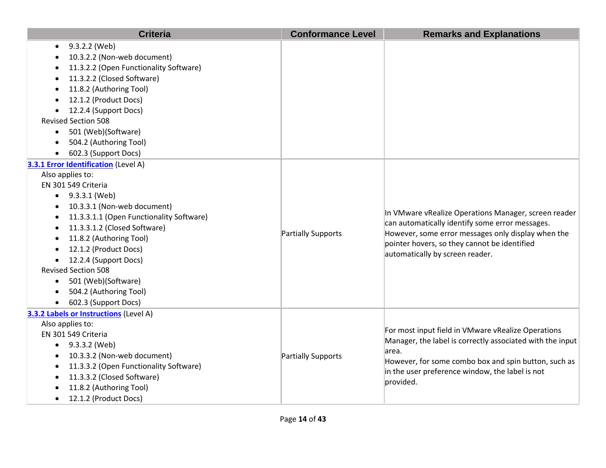| <b>Criteria</b>                          | <b>Conformance Level</b> | <b>Remarks and Explanations</b>                                                                                 |
|------------------------------------------|--------------------------|-----------------------------------------------------------------------------------------------------------------|
| 9.3.2.2 (Web)                            |                          |                                                                                                                 |
| 10.3.2.2 (Non-web document)              |                          |                                                                                                                 |
| 11.3.2.2 (Open Functionality Software)   |                          |                                                                                                                 |
| 11.3.2.2 (Closed Software)               |                          |                                                                                                                 |
| 11.8.2 (Authoring Tool)                  |                          |                                                                                                                 |
| 12.1.2 (Product Docs)                    |                          |                                                                                                                 |
| 12.2.4 (Support Docs)                    |                          |                                                                                                                 |
| <b>Revised Section 508</b>               |                          |                                                                                                                 |
| 501 (Web)(Software)<br>$\bullet$         |                          |                                                                                                                 |
| 504.2 (Authoring Tool)                   |                          |                                                                                                                 |
| 602.3 (Support Docs)                     |                          |                                                                                                                 |
| 3.3.1 Error Identification (Level A)     |                          |                                                                                                                 |
| Also applies to:                         |                          |                                                                                                                 |
| EN 301 549 Criteria                      |                          |                                                                                                                 |
| 9.3.3.1 (Web)<br>$\bullet$               |                          |                                                                                                                 |
| 10.3.3.1 (Non-web document)              |                          |                                                                                                                 |
| 11.3.3.1.1 (Open Functionality Software) |                          | In VMware vRealize Operations Manager, screen reader<br>can automatically identify some error messages.         |
| 11.3.3.1.2 (Closed Software)             | Partially Supports       | However, some error messages only display when the                                                              |
| 11.8.2 (Authoring Tool)                  |                          | pointer hovers, so they cannot be identified                                                                    |
| 12.1.2 (Product Docs)                    |                          | automatically by screen reader.                                                                                 |
| 12.2.4 (Support Docs)                    |                          |                                                                                                                 |
| <b>Revised Section 508</b>               |                          |                                                                                                                 |
| 501 (Web)(Software)<br>$\bullet$         |                          |                                                                                                                 |
| 504.2 (Authoring Tool)                   |                          |                                                                                                                 |
| 602.3 (Support Docs)                     |                          |                                                                                                                 |
| 3.3.2 Labels or Instructions (Level A)   |                          |                                                                                                                 |
| Also applies to:                         |                          |                                                                                                                 |
| EN 301 549 Criteria                      |                          | For most input field in VMware vRealize Operations<br>Manager, the label is correctly associated with the input |
| 9.3.3.2 (Web)                            |                          | area.                                                                                                           |
| 10.3.3.2 (Non-web document)              | Partially Supports       | However, for some combo box and spin button, such as                                                            |
| 11.3.3.2 (Open Functionality Software)   |                          | in the user preference window, the label is not                                                                 |
| 11.3.3.2 (Closed Software)               |                          | provided.                                                                                                       |
| 11.8.2 (Authoring Tool)                  |                          |                                                                                                                 |
| 12.1.2 (Product Docs)                    |                          |                                                                                                                 |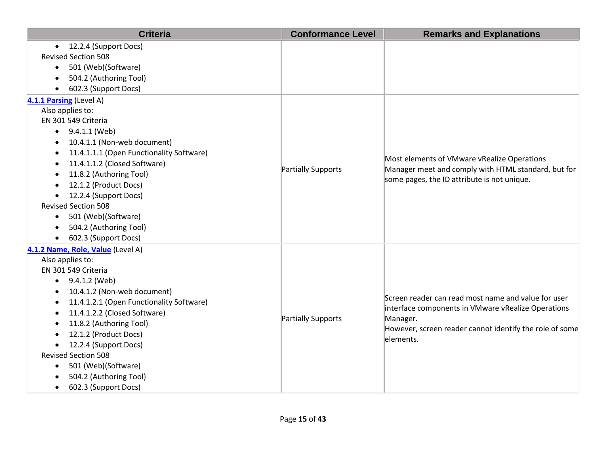| <b>Criteria</b>                           | <b>Conformance Level</b> | <b>Remarks and Explanations</b>                                                                                                                   |
|-------------------------------------------|--------------------------|---------------------------------------------------------------------------------------------------------------------------------------------------|
| • 12.2.4 (Support Docs)                   |                          |                                                                                                                                                   |
| <b>Revised Section 508</b>                |                          |                                                                                                                                                   |
| 501 (Web)(Software)<br>$\bullet$          |                          |                                                                                                                                                   |
| 504.2 (Authoring Tool)<br>$\bullet$       |                          |                                                                                                                                                   |
| 602.3 (Support Docs)                      |                          |                                                                                                                                                   |
| 4.1.1 Parsing (Level A)                   |                          |                                                                                                                                                   |
| Also applies to:                          |                          |                                                                                                                                                   |
| EN 301 549 Criteria                       |                          |                                                                                                                                                   |
| $\bullet$ 9.4.1.1 (Web)                   |                          |                                                                                                                                                   |
| 10.4.1.1 (Non-web document)<br>$\bullet$  |                          |                                                                                                                                                   |
| 11.4.1.1.1 (Open Functionality Software)  |                          |                                                                                                                                                   |
| 11.4.1.1.2 (Closed Software)              | Partially Supports       | Most elements of VMware vRealize Operations<br>Manager meet and comply with HTML standard, but for<br>some pages, the ID attribute is not unique. |
| 11.8.2 (Authoring Tool)                   |                          |                                                                                                                                                   |
| 12.1.2 (Product Docs)                     |                          |                                                                                                                                                   |
| 12.2.4 (Support Docs)<br>٠                |                          |                                                                                                                                                   |
| <b>Revised Section 508</b>                |                          |                                                                                                                                                   |
| 501 (Web)(Software)<br>$\bullet$          |                          |                                                                                                                                                   |
| 504.2 (Authoring Tool)                    |                          |                                                                                                                                                   |
| 602.3 (Support Docs)<br>$\bullet$         |                          |                                                                                                                                                   |
| 4.1.2 Name, Role, Value (Level A)         |                          |                                                                                                                                                   |
| Also applies to:                          |                          |                                                                                                                                                   |
| EN 301 549 Criteria                       |                          |                                                                                                                                                   |
| 9.4.1.2 (Web)<br>٠                        |                          | Screen reader can read most name and value for user                                                                                               |
| 10.4.1.2 (Non-web document)               |                          |                                                                                                                                                   |
| 11.4.1.2.1 (Open Functionality Software)  |                          | interface components in VMware vRealize Operations                                                                                                |
| 11.4.1.2.2 (Closed Software)<br>$\bullet$ | Partially Supports       | Manager.                                                                                                                                          |
| 11.8.2 (Authoring Tool)                   |                          | However, screen reader cannot identify the role of some                                                                                           |
| 12.1.2 (Product Docs)                     |                          | elements.                                                                                                                                         |
| 12.2.4 (Support Docs)                     |                          |                                                                                                                                                   |
| <b>Revised Section 508</b>                |                          |                                                                                                                                                   |
| 501 (Web)(Software)<br>$\bullet$          |                          |                                                                                                                                                   |
| 504.2 (Authoring Tool)                    |                          |                                                                                                                                                   |
| 602.3 (Support Docs)<br>$\bullet$         |                          |                                                                                                                                                   |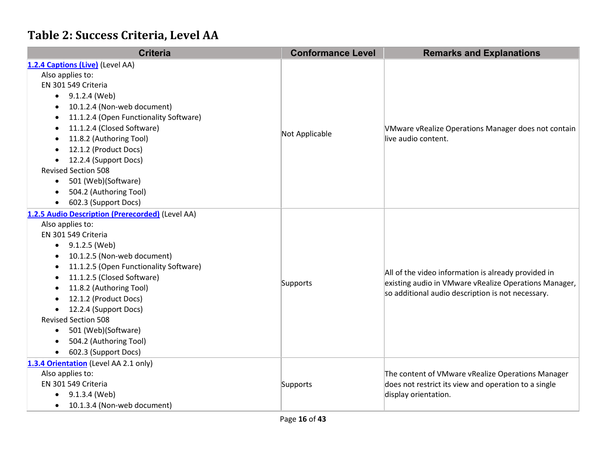### **Table 2: Success Criteria, Level AA**

| <b>Criteria</b>                                     | <b>Conformance Level</b> | <b>Remarks and Explanations</b>                                                                            |
|-----------------------------------------------------|--------------------------|------------------------------------------------------------------------------------------------------------|
| 1.2.4 Captions (Live) (Level AA)                    |                          |                                                                                                            |
| Also applies to:                                    |                          |                                                                                                            |
| EN 301 549 Criteria                                 |                          |                                                                                                            |
| 9.1.2.4 (Web)<br>$\bullet$                          |                          |                                                                                                            |
| 10.1.2.4 (Non-web document)<br>$\bullet$            |                          |                                                                                                            |
| 11.1.2.4 (Open Functionality Software)<br>$\bullet$ |                          |                                                                                                            |
| 11.1.2.4 (Closed Software)<br>$\bullet$             | Not Applicable           | VMware vRealize Operations Manager does not contain                                                        |
| 11.8.2 (Authoring Tool)<br>$\bullet$                |                          | live audio content.                                                                                        |
| 12.1.2 (Product Docs)                               |                          |                                                                                                            |
| 12.2.4 (Support Docs)<br>$\bullet$                  |                          |                                                                                                            |
| <b>Revised Section 508</b>                          |                          |                                                                                                            |
| 501 (Web)(Software)<br>$\bullet$                    |                          |                                                                                                            |
| 504.2 (Authoring Tool)<br>$\bullet$                 |                          |                                                                                                            |
| 602.3 (Support Docs)                                |                          |                                                                                                            |
| 1.2.5 Audio Description (Prerecorded) (Level AA)    |                          |                                                                                                            |
| Also applies to:                                    | Supports                 |                                                                                                            |
| EN 301 549 Criteria                                 |                          |                                                                                                            |
| 9.1.2.5 (Web)<br>$\bullet$                          |                          |                                                                                                            |
| 10.1.2.5 (Non-web document)<br>$\bullet$            |                          |                                                                                                            |
| 11.1.2.5 (Open Functionality Software)<br>$\bullet$ |                          | All of the video information is already provided in                                                        |
| 11.1.2.5 (Closed Software)<br>$\bullet$             |                          | existing audio in VMware vRealize Operations Manager,<br>so additional audio description is not necessary. |
| 11.8.2 (Authoring Tool)<br>$\bullet$                |                          |                                                                                                            |
| 12.1.2 (Product Docs)<br>$\bullet$                  |                          |                                                                                                            |
| 12.2.4 (Support Docs)                               |                          |                                                                                                            |
| <b>Revised Section 508</b>                          |                          |                                                                                                            |
| 501 (Web)(Software)<br>$\bullet$                    |                          |                                                                                                            |
| 504.2 (Authoring Tool)<br>$\bullet$                 |                          |                                                                                                            |
| 602.3 (Support Docs)<br>$\bullet$                   |                          |                                                                                                            |
| 1.3.4 Orientation (Level AA 2.1 only)               |                          |                                                                                                            |
| Also applies to:                                    |                          | The content of VMware vRealize Operations Manager                                                          |
| EN 301 549 Criteria                                 | Supports                 | does not restrict its view and operation to a single                                                       |
| 9.1.3.4 (Web)<br>$\bullet$                          |                          | display orientation.                                                                                       |
| 10.1.3.4 (Non-web document)<br>$\bullet$            |                          |                                                                                                            |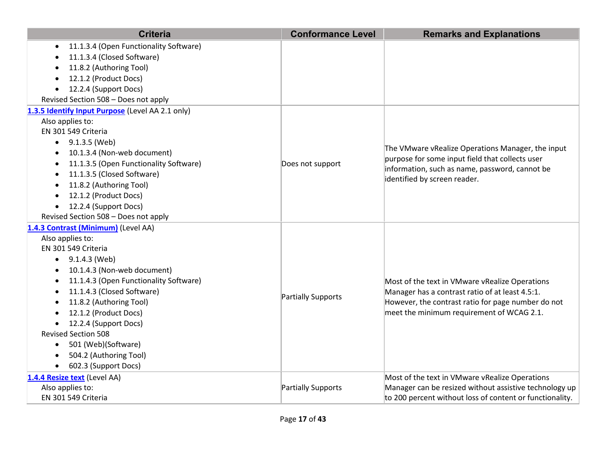| <b>Criteria</b>                                     | <b>Conformance Level</b> | <b>Remarks and Explanations</b>                          |
|-----------------------------------------------------|--------------------------|----------------------------------------------------------|
| 11.1.3.4 (Open Functionality Software)<br>$\bullet$ |                          |                                                          |
| 11.1.3.4 (Closed Software)                          |                          |                                                          |
| 11.8.2 (Authoring Tool)                             |                          |                                                          |
| 12.1.2 (Product Docs)                               |                          |                                                          |
| 12.2.4 (Support Docs)<br>$\bullet$                  |                          |                                                          |
| Revised Section 508 - Does not apply                |                          |                                                          |
| 1.3.5 Identify Input Purpose (Level AA 2.1 only)    |                          |                                                          |
| Also applies to:                                    |                          |                                                          |
| EN 301 549 Criteria                                 |                          |                                                          |
| 9.1.3.5 (Web)                                       |                          | The VMware vRealize Operations Manager, the input        |
| 10.1.3.4 (Non-web document)                         |                          | purpose for some input field that collects user          |
| 11.1.3.5 (Open Functionality Software)              | Does not support         | information, such as name, password, cannot be           |
| 11.1.3.5 (Closed Software)                          |                          | identified by screen reader.                             |
| 11.8.2 (Authoring Tool)                             |                          |                                                          |
| 12.1.2 (Product Docs)<br>$\bullet$                  |                          |                                                          |
| 12.2.4 (Support Docs)<br>$\bullet$                  |                          |                                                          |
| Revised Section 508 - Does not apply                |                          |                                                          |
| 1.4.3 Contrast (Minimum) (Level AA)                 |                          |                                                          |
| Also applies to:                                    |                          |                                                          |
| EN 301 549 Criteria                                 |                          |                                                          |
| 9.1.4.3 (Web)<br>٠                                  |                          |                                                          |
| 10.1.4.3 (Non-web document)                         |                          |                                                          |
| 11.1.4.3 (Open Functionality Software)<br>$\bullet$ |                          | Most of the text in VMware vRealize Operations           |
| 11.1.4.3 (Closed Software)<br>$\bullet$             | Partially Supports       | Manager has a contrast ratio of at least 4.5:1.          |
| 11.8.2 (Authoring Tool)                             |                          | However, the contrast ratio for page number do not       |
| 12.1.2 (Product Docs)                               |                          | meet the minimum requirement of WCAG 2.1.                |
| 12.2.4 (Support Docs)                               |                          |                                                          |
| <b>Revised Section 508</b>                          |                          |                                                          |
| 501 (Web)(Software)<br>$\bullet$                    |                          |                                                          |
| 504.2 (Authoring Tool)                              |                          |                                                          |
| 602.3 (Support Docs)<br>$\bullet$                   |                          |                                                          |
| 1.4.4 Resize text (Level AA)                        |                          | Most of the text in VMware vRealize Operations           |
| Also applies to:                                    | Partially Supports       | Manager can be resized without assistive technology up   |
| EN 301 549 Criteria                                 |                          | to 200 percent without loss of content or functionality. |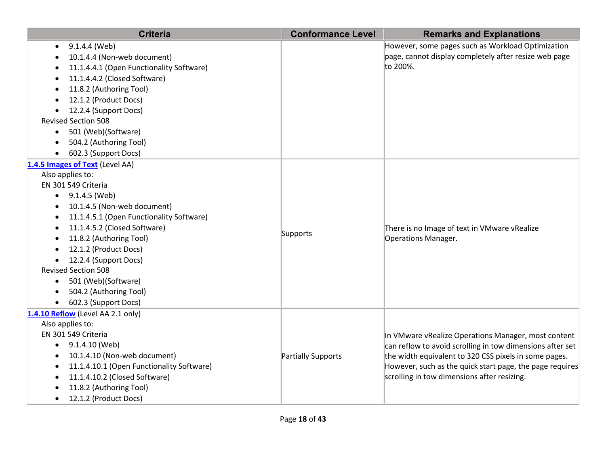| <b>Criteria</b>                                                                                                                                                                                                                                                                                                                                                                                                      | <b>Conformance Level</b> | <b>Remarks and Explanations</b>                                                                                                                                                                                                                                                      |
|----------------------------------------------------------------------------------------------------------------------------------------------------------------------------------------------------------------------------------------------------------------------------------------------------------------------------------------------------------------------------------------------------------------------|--------------------------|--------------------------------------------------------------------------------------------------------------------------------------------------------------------------------------------------------------------------------------------------------------------------------------|
| 9.1.4.4 (Web)<br>10.1.4.4 (Non-web document)<br>11.1.4.4.1 (Open Functionality Software)<br>11.1.4.4.2 (Closed Software)                                                                                                                                                                                                                                                                                             |                          | However, some pages such as Workload Optimization<br>page, cannot display completely after resize web page<br>to 200%.                                                                                                                                                               |
| 11.8.2 (Authoring Tool)<br>12.1.2 (Product Docs)<br>12.2.4 (Support Docs)<br><b>Revised Section 508</b><br>501 (Web)(Software)<br>$\bullet$<br>504.2 (Authoring Tool)<br>602.3 (Support Docs)                                                                                                                                                                                                                        |                          |                                                                                                                                                                                                                                                                                      |
| 1.4.5 Images of Text (Level AA)<br>Also applies to:<br>EN 301 549 Criteria<br>9.1.4.5 (Web)<br>$\bullet$<br>10.1.4.5 (Non-web document)<br>11.1.4.5.1 (Open Functionality Software)<br>11.1.4.5.2 (Closed Software)<br>11.8.2 (Authoring Tool)<br>12.1.2 (Product Docs)<br>12.2.4 (Support Docs)<br><b>Revised Section 508</b><br>501 (Web)(Software)<br>$\bullet$<br>504.2 (Authoring Tool)<br>602.3 (Support Docs) | Supports                 | There is no Image of text in VMware vRealize<br>Operations Manager.                                                                                                                                                                                                                  |
| 1.4.10 Reflow (Level AA 2.1 only)<br>Also applies to:<br>EN 301 549 Criteria<br>9.1.4.10 (Web)<br>10.1.4.10 (Non-web document)<br>11.1.4.10.1 (Open Functionality Software)<br>11.1.4.10.2 (Closed Software)<br>11.8.2 (Authoring Tool)<br>12.1.2 (Product Docs)                                                                                                                                                     | Partially Supports       | In VMware vRealize Operations Manager, most content<br>can reflow to avoid scrolling in tow dimensions after set<br>the width equivalent to 320 CSS pixels in some pages.<br>However, such as the quick start page, the page requires<br>scrolling in tow dimensions after resizing. |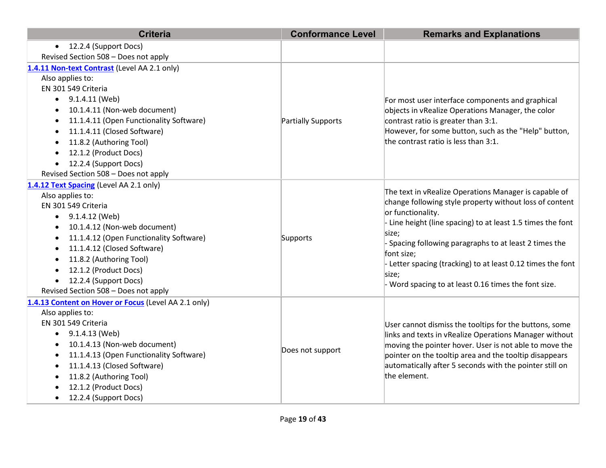| <b>Criteria</b>                                      | <b>Conformance Level</b> | <b>Remarks and Explanations</b>                                                                                                       |
|------------------------------------------------------|--------------------------|---------------------------------------------------------------------------------------------------------------------------------------|
| 12.2.4 (Support Docs)<br>$\bullet$                   |                          |                                                                                                                                       |
| Revised Section 508 - Does not apply                 |                          |                                                                                                                                       |
| 1.4.11 Non-text Contrast (Level AA 2.1 only)         |                          |                                                                                                                                       |
| Also applies to:                                     |                          |                                                                                                                                       |
| EN 301 549 Criteria                                  |                          |                                                                                                                                       |
| 9.1.4.11 (Web)<br>$\bullet$                          |                          | For most user interface components and graphical                                                                                      |
| 10.1.4.11 (Non-web document)<br>$\bullet$            |                          | objects in vRealize Operations Manager, the color                                                                                     |
| 11.1.4.11 (Open Functionality Software)<br>$\bullet$ | Partially Supports       | contrast ratio is greater than 3:1.                                                                                                   |
| 11.1.4.11 (Closed Software)<br>$\bullet$             |                          | However, for some button, such as the "Help" button,                                                                                  |
| 11.8.2 (Authoring Tool)                              |                          | the contrast ratio is less than 3:1.                                                                                                  |
| 12.1.2 (Product Docs)<br>$\bullet$                   |                          |                                                                                                                                       |
| 12.2.4 (Support Docs)<br>$\bullet$                   |                          |                                                                                                                                       |
| Revised Section 508 - Does not apply                 |                          |                                                                                                                                       |
| 1.4.12 Text Spacing (Level AA 2.1 only)              |                          | The text in vRealize Operations Manager is capable of<br>change following style property without loss of content<br>or functionality. |
| Also applies to:                                     |                          |                                                                                                                                       |
| EN 301 549 Criteria                                  |                          |                                                                                                                                       |
| $\bullet$ 9.1.4.12 (Web)                             |                          | - Line height (line spacing) to at least 1.5 times the font                                                                           |
| 10.1.4.12 (Non-web document)<br>$\bullet$            |                          | size;                                                                                                                                 |
| 11.1.4.12 (Open Functionality Software)<br>$\bullet$ | Supports                 | Spacing following paragraphs to at least 2 times the                                                                                  |
| 11.1.4.12 (Closed Software)<br>$\bullet$             |                          | font size;                                                                                                                            |
| 11.8.2 (Authoring Tool)<br>$\bullet$                 |                          | - Letter spacing (tracking) to at least 0.12 times the font                                                                           |
| 12.1.2 (Product Docs)<br>$\bullet$                   |                          | size;                                                                                                                                 |
| 12.2.4 (Support Docs)<br>$\bullet$                   |                          | Word spacing to at least 0.16 times the font size.                                                                                    |
| Revised Section 508 - Does not apply                 |                          |                                                                                                                                       |
| 1.4.13 Content on Hover or Focus (Level AA 2.1 only) |                          |                                                                                                                                       |
| Also applies to:                                     |                          |                                                                                                                                       |
| EN 301 549 Criteria                                  |                          | User cannot dismiss the tooltips for the buttons, some                                                                                |
| 9.1.4.13 (Web)<br>$\bullet$                          | Does not support         | links and texts in vRealize Operations Manager without                                                                                |
| 10.1.4.13 (Non-web document)<br>$\bullet$            |                          | moving the pointer hover. User is not able to move the                                                                                |
| 11.1.4.13 (Open Functionality Software)<br>$\bullet$ |                          | pointer on the tooltip area and the tooltip disappears                                                                                |
| 11.1.4.13 (Closed Software)<br>$\bullet$             |                          | automatically after 5 seconds with the pointer still on                                                                               |
| 11.8.2 (Authoring Tool)<br>$\bullet$                 |                          | the element.                                                                                                                          |
| 12.1.2 (Product Docs)                                |                          |                                                                                                                                       |
| 12.2.4 (Support Docs)<br>$\bullet$                   |                          |                                                                                                                                       |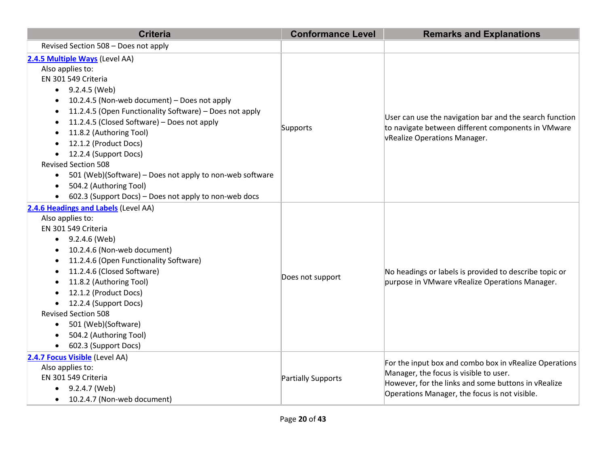| <b>Criteria</b>                                                                                                                                                                                                                                                                                                                                                                                                                                                                                                                                  | <b>Conformance Level</b> | <b>Remarks and Explanations</b>                                                                                                                                                                          |
|--------------------------------------------------------------------------------------------------------------------------------------------------------------------------------------------------------------------------------------------------------------------------------------------------------------------------------------------------------------------------------------------------------------------------------------------------------------------------------------------------------------------------------------------------|--------------------------|----------------------------------------------------------------------------------------------------------------------------------------------------------------------------------------------------------|
| Revised Section 508 - Does not apply                                                                                                                                                                                                                                                                                                                                                                                                                                                                                                             |                          |                                                                                                                                                                                                          |
| 2.4.5 Multiple Ways (Level AA)<br>Also applies to:<br>EN 301 549 Criteria<br>$-9.2.4.5$ (Web)<br>10.2.4.5 (Non-web document) - Does not apply<br>11.2.4.5 (Open Functionality Software) - Does not apply<br>٠<br>11.2.4.5 (Closed Software) - Does not apply<br>11.8.2 (Authoring Tool)<br>12.1.2 (Product Docs)<br>12.2.4 (Support Docs)<br><b>Revised Section 508</b><br>501 (Web)(Software) - Does not apply to non-web software<br>$\bullet$<br>504.2 (Authoring Tool)<br>$\bullet$<br>602.3 (Support Docs) - Does not apply to non-web docs | Supports                 | User can use the navigation bar and the search function<br>to navigate between different components in VMware<br><b>VRealize Operations Manager.</b>                                                     |
| 2.4.6 Headings and Labels (Level AA)<br>Also applies to:<br>EN 301 549 Criteria<br>9.2.4.6 (Web)<br>$\bullet$<br>10.2.4.6 (Non-web document)<br>11.2.4.6 (Open Functionality Software)<br>11.2.4.6 (Closed Software)<br>$\bullet$<br>11.8.2 (Authoring Tool)<br>12.1.2 (Product Docs)<br>12.2.4 (Support Docs)<br>$\bullet$<br><b>Revised Section 508</b><br>501 (Web)(Software)<br>504.2 (Authoring Tool)<br>602.3 (Support Docs)                                                                                                               | Does not support         | No headings or labels is provided to describe topic or<br>purpose in VMware vRealize Operations Manager.                                                                                                 |
| 2.4.7 Focus Visible (Level AA)<br>Also applies to:<br>EN 301 549 Criteria<br>$\bullet$ 9.2.4.7 (Web)<br>10.2.4.7 (Non-web document)<br>$\bullet$                                                                                                                                                                                                                                                                                                                                                                                                 | Partially Supports       | For the input box and combo box in vRealize Operations<br>Manager, the focus is visible to user.<br>However, for the links and some buttons in vRealize<br>Operations Manager, the focus is not visible. |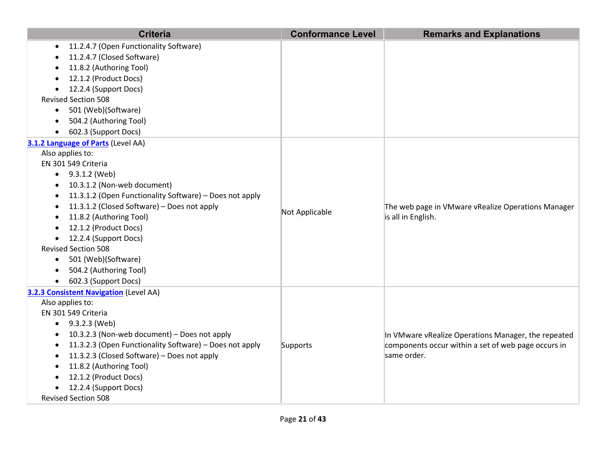| <b>Criteria</b>                                                      | <b>Conformance Level</b> | <b>Remarks and Explanations</b>                                          |
|----------------------------------------------------------------------|--------------------------|--------------------------------------------------------------------------|
| 11.2.4.7 (Open Functionality Software)<br>$\bullet$                  |                          |                                                                          |
| 11.2.4.7 (Closed Software)                                           |                          |                                                                          |
| 11.8.2 (Authoring Tool)                                              |                          |                                                                          |
| 12.1.2 (Product Docs)                                                |                          |                                                                          |
| 12.2.4 (Support Docs)                                                |                          |                                                                          |
| <b>Revised Section 508</b>                                           |                          |                                                                          |
| 501 (Web)(Software)<br>$\bullet$                                     |                          |                                                                          |
| 504.2 (Authoring Tool)                                               |                          |                                                                          |
| 602.3 (Support Docs)<br>$\bullet$                                    |                          |                                                                          |
| 3.1.2 Language of Parts (Level AA)                                   |                          |                                                                          |
| Also applies to:                                                     |                          |                                                                          |
| EN 301 549 Criteria                                                  |                          |                                                                          |
| $\bullet$ 9.3.1.2 (Web)                                              |                          |                                                                          |
| 10.3.1.2 (Non-web document)<br>$\bullet$                             |                          | The web page in VMware vRealize Operations Manager<br>is all in English. |
| 11.3.1.2 (Open Functionality Software) - Does not apply<br>$\bullet$ |                          |                                                                          |
| 11.3.1.2 (Closed Software) - Does not apply<br>$\bullet$             | Not Applicable           |                                                                          |
| 11.8.2 (Authoring Tool)                                              |                          |                                                                          |
| 12.1.2 (Product Docs)                                                |                          |                                                                          |
| 12.2.4 (Support Docs)                                                |                          |                                                                          |
| <b>Revised Section 508</b>                                           |                          |                                                                          |
| 501 (Web)(Software)<br>$\bullet$                                     |                          |                                                                          |
| 504.2 (Authoring Tool)<br>$\bullet$                                  |                          |                                                                          |
| 602.3 (Support Docs)<br>$\bullet$                                    |                          |                                                                          |
| 3.2.3 Consistent Navigation (Level AA)                               |                          |                                                                          |
| Also applies to:                                                     |                          |                                                                          |
| EN 301 549 Criteria                                                  |                          |                                                                          |
| 9.3.2.3 (Web)<br>$\bullet$                                           |                          |                                                                          |
| 10.3.2.3 (Non-web document) - Does not apply                         |                          | In VMware vRealize Operations Manager, the repeated                      |
| 11.3.2.3 (Open Functionality Software) - Does not apply<br>$\bullet$ | Supports                 | components occur within a set of web page occurs in<br>same order.       |
| 11.3.2.3 (Closed Software) - Does not apply                          |                          |                                                                          |
| 11.8.2 (Authoring Tool)                                              |                          |                                                                          |
| 12.1.2 (Product Docs)<br>12.2.4 (Support Docs)                       |                          |                                                                          |
| <b>Revised Section 508</b>                                           |                          |                                                                          |
|                                                                      |                          |                                                                          |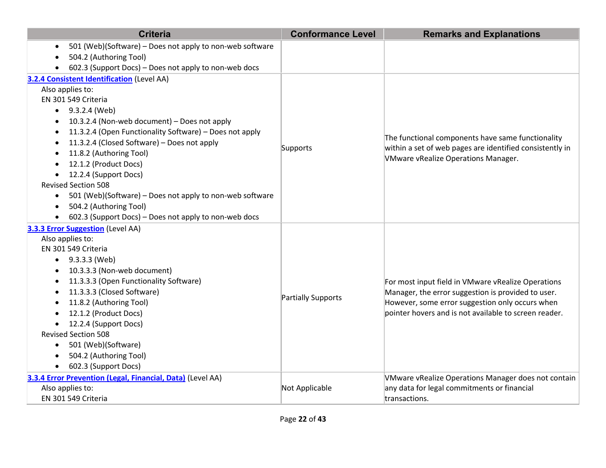| <b>Criteria</b>                                                       | <b>Conformance Level</b> | <b>Remarks and Explanations</b>                                                                          |
|-----------------------------------------------------------------------|--------------------------|----------------------------------------------------------------------------------------------------------|
| 501 (Web)(Software) - Does not apply to non-web software              |                          |                                                                                                          |
| 504.2 (Authoring Tool)                                                |                          |                                                                                                          |
| 602.3 (Support Docs) - Does not apply to non-web docs                 |                          |                                                                                                          |
| 3.2.4 Consistent Identification (Level AA)                            |                          |                                                                                                          |
| Also applies to:                                                      |                          |                                                                                                          |
| EN 301 549 Criteria                                                   |                          |                                                                                                          |
| $\bullet$ 9.3.2.4 (Web)                                               |                          |                                                                                                          |
| 10.3.2.4 (Non-web document) - Does not apply                          |                          |                                                                                                          |
| 11.3.2.4 (Open Functionality Software) - Does not apply               |                          | The functional components have same functionality                                                        |
| 11.3.2.4 (Closed Software) - Does not apply                           | Supports                 | within a set of web pages are identified consistently in                                                 |
| 11.8.2 (Authoring Tool)                                               |                          | <b>VMware vRealize Operations Manager.</b>                                                               |
| 12.1.2 (Product Docs)                                                 |                          |                                                                                                          |
| 12.2.4 (Support Docs)<br>$\bullet$                                    |                          |                                                                                                          |
| <b>Revised Section 508</b>                                            |                          |                                                                                                          |
| 501 (Web)(Software) - Does not apply to non-web software<br>$\bullet$ |                          |                                                                                                          |
| 504.2 (Authoring Tool)<br>$\bullet$                                   |                          |                                                                                                          |
| 602.3 (Support Docs) - Does not apply to non-web docs                 |                          |                                                                                                          |
| 3.3.3 Error Suggestion (Level AA)                                     |                          |                                                                                                          |
| Also applies to:<br>EN 301 549 Criteria                               |                          |                                                                                                          |
| 9.3.3.3 (Web)                                                         |                          | For most input field in VMware vRealize Operations<br>Manager, the error suggestion is provided to user. |
| $\bullet$<br>10.3.3.3 (Non-web document)                              |                          |                                                                                                          |
| 11.3.3.3 (Open Functionality Software)                                |                          |                                                                                                          |
| 11.3.3.3 (Closed Software)<br>$\bullet$                               |                          |                                                                                                          |
| 11.8.2 (Authoring Tool)                                               | Partially Supports       | However, some error suggestion only occurs when                                                          |
| 12.1.2 (Product Docs)                                                 |                          | pointer hovers and is not available to screen reader.                                                    |
| 12.2.4 (Support Docs)<br>$\bullet$                                    |                          |                                                                                                          |
| <b>Revised Section 508</b>                                            |                          |                                                                                                          |
| 501 (Web)(Software)<br>$\bullet$                                      |                          |                                                                                                          |
| 504.2 (Authoring Tool)                                                |                          |                                                                                                          |
| 602.3 (Support Docs)                                                  |                          |                                                                                                          |
| 3.3.4 Error Prevention (Legal, Financial, Data) (Level AA)            |                          | VMware vRealize Operations Manager does not contain                                                      |
| Also applies to:                                                      | Not Applicable           | any data for legal commitments or financial                                                              |
| EN 301 549 Criteria                                                   |                          | transactions.                                                                                            |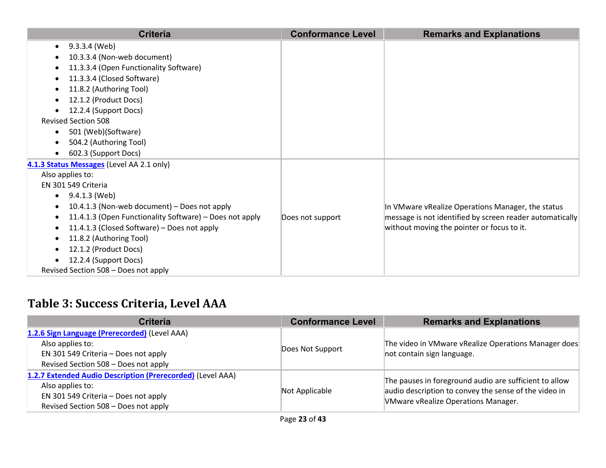| <b>Criteria</b>                                         | <b>Conformance Level</b> | <b>Remarks and Explanations</b>                          |
|---------------------------------------------------------|--------------------------|----------------------------------------------------------|
| 9.3.3.4 (Web)                                           |                          |                                                          |
| 10.3.3.4 (Non-web document)                             |                          |                                                          |
| 11.3.3.4 (Open Functionality Software)                  |                          |                                                          |
| 11.3.3.4 (Closed Software)                              |                          |                                                          |
| 11.8.2 (Authoring Tool)                                 |                          |                                                          |
| 12.1.2 (Product Docs)                                   |                          |                                                          |
| 12.2.4 (Support Docs)                                   |                          |                                                          |
| <b>Revised Section 508</b>                              |                          |                                                          |
| 501 (Web)(Software)<br>$\bullet$                        |                          |                                                          |
| 504.2 (Authoring Tool)                                  |                          |                                                          |
| 602.3 (Support Docs)                                    |                          |                                                          |
| 4.1.3 Status Messages (Level AA 2.1 only)               |                          |                                                          |
| Also applies to:                                        |                          |                                                          |
| EN 301 549 Criteria                                     |                          |                                                          |
| 9.4.1.3 (Web)<br>$\bullet$                              |                          |                                                          |
| 10.4.1.3 (Non-web document) - Does not apply            |                          | In VMware vRealize Operations Manager, the status        |
| 11.4.1.3 (Open Functionality Software) - Does not apply | Does not support         | message is not identified by screen reader automatically |
| 11.4.1.3 (Closed Software) - Does not apply             |                          | without moving the pointer or focus to it.               |
| 11.8.2 (Authoring Tool)                                 |                          |                                                          |
| 12.1.2 (Product Docs)                                   |                          |                                                          |
| 12.2.4 (Support Docs)                                   |                          |                                                          |
| Revised Section 508 - Does not apply                    |                          |                                                          |

# **Table 3: Success Criteria, Level AAA**

| <b>Criteria</b>                                                                                                                                                | <b>Conformance Level</b> | <b>Remarks and Explanations</b>                                                                                                                               |
|----------------------------------------------------------------------------------------------------------------------------------------------------------------|--------------------------|---------------------------------------------------------------------------------------------------------------------------------------------------------------|
| 1.2.6 Sign Language (Prerecorded) (Level AAA)<br>Also applies to:<br>EN 301 549 Criteria - Does not apply<br>Revised Section 508 - Does not apply              | Does Not Support         | The video in VMware vRealize Operations Manager does<br>not contain sign language.                                                                            |
| 1.2.7 Extended Audio Description (Prerecorded) (Level AAA)<br>Also applies to:<br>EN 301 549 Criteria - Does not apply<br>Revised Section 508 - Does not apply | Not Applicable           | The pauses in foreground audio are sufficient to allow<br>audio description to convey the sense of the video in<br><b>VMware vRealize Operations Manager.</b> |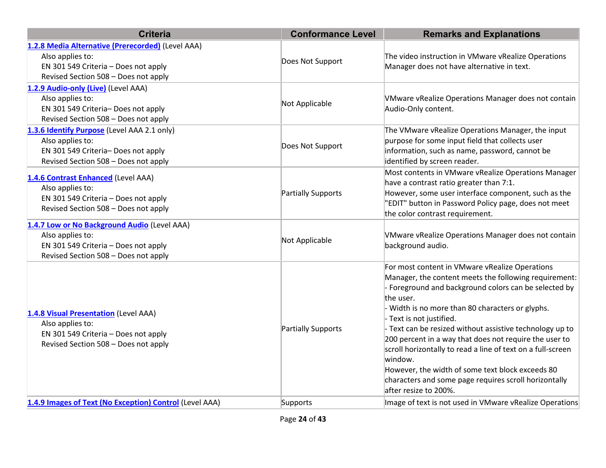| <b>Criteria</b>                                                                                                                                       | <b>Conformance Level</b> | <b>Remarks and Explanations</b>                                                                                                                                                                                                                                                                                                                                                                                                                                                                                                                                                             |
|-------------------------------------------------------------------------------------------------------------------------------------------------------|--------------------------|---------------------------------------------------------------------------------------------------------------------------------------------------------------------------------------------------------------------------------------------------------------------------------------------------------------------------------------------------------------------------------------------------------------------------------------------------------------------------------------------------------------------------------------------------------------------------------------------|
| 1.2.8 Media Alternative (Prerecorded) (Level AAA)<br>Also applies to:<br>EN 301 549 Criteria - Does not apply<br>Revised Section 508 - Does not apply | Does Not Support         | The video instruction in VMware vRealize Operations<br>Manager does not have alternative in text.                                                                                                                                                                                                                                                                                                                                                                                                                                                                                           |
| 1.2.9 Audio-only (Live) (Level AAA)<br>Also applies to:<br>EN 301 549 Criteria- Does not apply<br>Revised Section 508 - Does not apply                | Not Applicable           | VMware vRealize Operations Manager does not contain<br>Audio-Only content.                                                                                                                                                                                                                                                                                                                                                                                                                                                                                                                  |
| 1.3.6 Identify Purpose (Level AAA 2.1 only)<br>Also applies to:<br>EN 301 549 Criteria-Does not apply<br>Revised Section 508 - Does not apply         | Does Not Support         | The VMware vRealize Operations Manager, the input<br>purpose for some input field that collects user<br>information, such as name, password, cannot be<br>identified by screen reader.                                                                                                                                                                                                                                                                                                                                                                                                      |
| 1.4.6 Contrast Enhanced (Level AAA)<br>Also applies to:<br>EN 301 549 Criteria - Does not apply<br>Revised Section 508 - Does not apply               | Partially Supports       | Most contents in VMware vRealize Operations Manager<br>have a contrast ratio greater than 7:1.<br>However, some user interface component, such as the<br>'EDIT" button in Password Policy page, does not meet<br>the color contrast requirement.                                                                                                                                                                                                                                                                                                                                            |
| 1.4.7 Low or No Background Audio (Level AAA)<br>Also applies to:<br>EN 301 549 Criteria - Does not apply<br>Revised Section 508 - Does not apply      | Not Applicable           | VMware vRealize Operations Manager does not contain<br>background audio.                                                                                                                                                                                                                                                                                                                                                                                                                                                                                                                    |
| 1.4.8 Visual Presentation (Level AAA)<br>Also applies to:<br>EN 301 549 Criteria - Does not apply<br>Revised Section 508 - Does not apply             | Partially Supports       | For most content in VMware vRealize Operations<br>Manager, the content meets the following requirement:<br>Foreground and background colors can be selected by<br>the user.<br>Width is no more than 80 characters or glyphs.<br>Text is not justified.<br>Text can be resized without assistive technology up to<br>200 percent in a way that does not require the user to<br>scroll horizontally to read a line of text on a full-screen<br>window.<br>However, the width of some text block exceeds 80<br>characters and some page requires scroll horizontally<br>after resize to 200%. |
| 1.4.9 Images of Text (No Exception) Control (Level AAA)                                                                                               | Supports                 | Image of text is not used in VMware vRealize Operations                                                                                                                                                                                                                                                                                                                                                                                                                                                                                                                                     |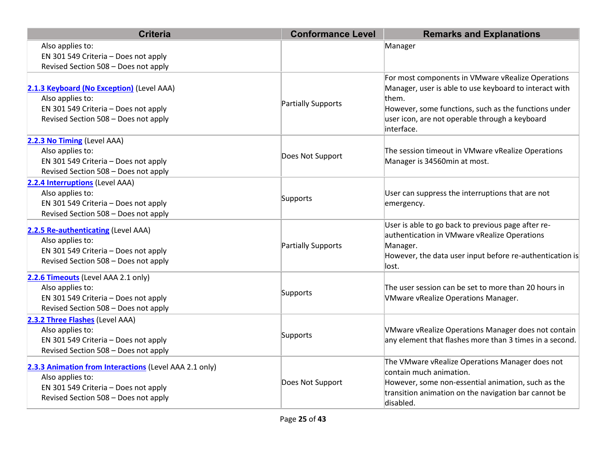| <b>Criteria</b>                                                                                                                                            | <b>Conformance Level</b> | <b>Remarks and Explanations</b>                                                                                                                                                                                                              |
|------------------------------------------------------------------------------------------------------------------------------------------------------------|--------------------------|----------------------------------------------------------------------------------------------------------------------------------------------------------------------------------------------------------------------------------------------|
| Also applies to:<br>EN 301 549 Criteria - Does not apply<br>Revised Section 508 - Does not apply                                                           |                          | Manager                                                                                                                                                                                                                                      |
| 2.1.3 Keyboard (No Exception) (Level AAA)<br>Also applies to:<br>EN 301 549 Criteria - Does not apply<br>Revised Section 508 - Does not apply              | Partially Supports       | For most components in VMware vRealize Operations<br>Manager, user is able to use keyboard to interact with<br>them.<br>However, some functions, such as the functions under<br>user icon, are not operable through a keyboard<br>interface. |
| 2.2.3 No Timing (Level AAA)<br>Also applies to:<br>EN 301 549 Criteria - Does not apply<br>Revised Section 508 - Does not apply                            | Does Not Support         | The session timeout in VMware vRealize Operations<br>Manager is 34560min at most.                                                                                                                                                            |
| 2.2.4 Interruptions (Level AAA)<br>Also applies to:<br>EN 301 549 Criteria - Does not apply<br>Revised Section 508 - Does not apply                        | Supports                 | User can suppress the interruptions that are not<br>emergency.                                                                                                                                                                               |
| 2.2.5 Re-authenticating (Level AAA)<br>Also applies to:<br>EN 301 549 Criteria - Does not apply<br>Revised Section 508 - Does not apply                    | Partially Supports       | User is able to go back to previous page after re-<br>authentication in VMware vRealize Operations<br>Manager.<br>However, the data user input before re-authentication is<br>lost.                                                          |
| 2.2.6 Timeouts (Level AAA 2.1 only)<br>Also applies to:<br>EN 301 549 Criteria - Does not apply<br>Revised Section 508 - Does not apply                    | Supports                 | The user session can be set to more than 20 hours in<br><b>VMware vRealize Operations Manager.</b>                                                                                                                                           |
| 2.3.2 Three Flashes (Level AAA)<br>Also applies to:<br>EN 301 549 Criteria - Does not apply<br>Revised Section 508 - Does not apply                        | Supports                 | VMware vRealize Operations Manager does not contain<br>any element that flashes more than 3 times in a second.                                                                                                                               |
| 2.3.3 Animation from Interactions (Level AAA 2.1 only)<br>Also applies to:<br>EN 301 549 Criteria - Does not apply<br>Revised Section 508 - Does not apply | Does Not Support         | The VMware vRealize Operations Manager does not<br>contain much animation.<br>However, some non-essential animation, such as the<br>transition animation on the navigation bar cannot be<br>disabled.                                        |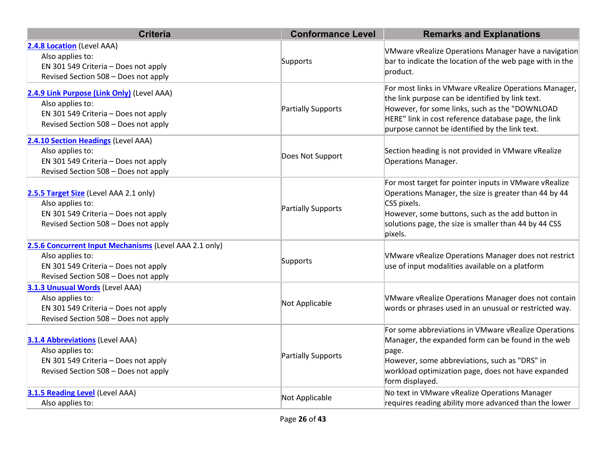| <b>Criteria</b>                                                                                                                                            | <b>Conformance Level</b> | <b>Remarks and Explanations</b>                                                                                                                                                                                                                                       |
|------------------------------------------------------------------------------------------------------------------------------------------------------------|--------------------------|-----------------------------------------------------------------------------------------------------------------------------------------------------------------------------------------------------------------------------------------------------------------------|
| 2.4.8 Location (Level AAA)<br>Also applies to:<br>EN 301 549 Criteria - Does not apply<br>Revised Section 508 - Does not apply                             | Supports                 | VMware vRealize Operations Manager have a navigation<br>bar to indicate the location of the web page with in the<br>product.                                                                                                                                          |
| 2.4.9 Link Purpose (Link Only) (Level AAA)<br>Also applies to:<br>EN 301 549 Criteria - Does not apply<br>Revised Section 508 - Does not apply             | Partially Supports       | For most links in VMware vRealize Operations Manager,<br>the link purpose can be identified by link text.<br>However, for some links, such as the "DOWNLOAD<br>HERE" link in cost reference database page, the link<br>purpose cannot be identified by the link text. |
| 2.4.10 Section Headings (Level AAA)<br>Also applies to:<br>EN 301 549 Criteria - Does not apply<br>Revised Section 508 - Does not apply                    | Does Not Support         | Section heading is not provided in VMware vRealize<br>Operations Manager.                                                                                                                                                                                             |
| 2.5.5 Target Size (Level AAA 2.1 only)<br>Also applies to:<br>EN 301 549 Criteria - Does not apply<br>Revised Section 508 - Does not apply                 | Partially Supports       | For most target for pointer inputs in VMware vRealize<br>Operations Manager, the size is greater than 44 by 44<br>CSS pixels.<br>However, some buttons, such as the add button in<br>solutions page, the size is smaller than 44 by 44 CSS<br>pixels.                 |
| 2.5.6 Concurrent Input Mechanisms (Level AAA 2.1 only)<br>Also applies to:<br>EN 301 549 Criteria - Does not apply<br>Revised Section 508 - Does not apply | Supports                 | <b>VMware vRealize Operations Manager does not restrict</b><br>use of input modalities available on a platform                                                                                                                                                        |
| 3.1.3 Unusual Words (Level AAA)<br>Also applies to:<br>EN 301 549 Criteria - Does not apply<br>Revised Section 508 - Does not apply                        | Not Applicable           | VMware vRealize Operations Manager does not contain<br>words or phrases used in an unusual or restricted way.                                                                                                                                                         |
| <b>3.1.4 Abbreviations (Level AAA)</b><br>Also applies to:<br>EN 301 549 Criteria - Does not apply<br>Revised Section 508 - Does not apply                 | Partially Supports       | For some abbreviations in VMware vRealize Operations<br>Manager, the expanded form can be found in the web<br>page.<br>However, some abbreviations, such as "DRS" in<br>workload optimization page, does not have expanded<br>form displayed.                         |
| 3.1.5 Reading Level (Level AAA)<br>Also applies to:                                                                                                        | Not Applicable           | No text in VMware vRealize Operations Manager<br>requires reading ability more advanced than the lower                                                                                                                                                                |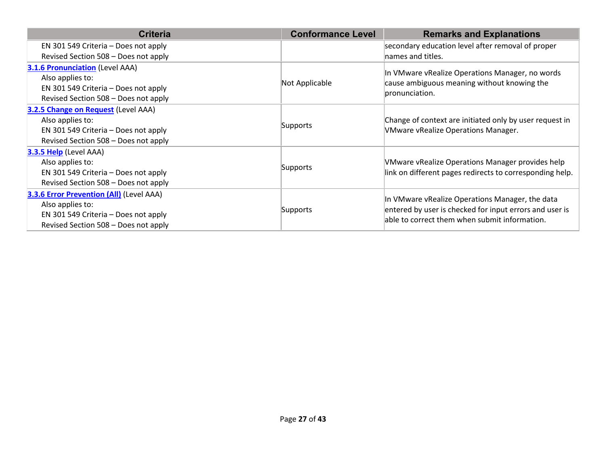| <b>Criteria</b>                                                                                                                                     | <b>Conformance Level</b> | <b>Remarks and Explanations</b>                                                                                                                             |
|-----------------------------------------------------------------------------------------------------------------------------------------------------|--------------------------|-------------------------------------------------------------------------------------------------------------------------------------------------------------|
| EN 301 549 Criteria - Does not apply                                                                                                                |                          | secondary education level after removal of proper                                                                                                           |
| Revised Section 508 - Does not apply                                                                                                                |                          | names and titles.                                                                                                                                           |
| <b>3.1.6 Pronunciation (Level AAA)</b><br>Also applies to:<br>EN 301 549 Criteria - Does not apply<br>Revised Section 508 - Does not apply          | Not Applicable           | In VMware vRealize Operations Manager, no words<br>cause ambiguous meaning without knowing the<br>pronunciation.                                            |
| 3.2.5 Change on Request (Level AAA)<br>Also applies to:<br>EN 301 549 Criteria - Does not apply<br>Revised Section 508 - Does not apply             | Supports                 | Change of context are initiated only by user request in<br><b>VMware vRealize Operations Manager.</b>                                                       |
| 3.3.5 Help (Level AAA)<br>Also applies to:<br>EN 301 549 Criteria - Does not apply<br>Revised Section 508 - Does not apply                          | Supports                 | VMware vRealize Operations Manager provides help<br>link on different pages redirects to corresponding help.                                                |
| <b>3.3.6 Error Prevention (All) (Level AAA)</b><br>Also applies to:<br>EN 301 549 Criteria - Does not apply<br>Revised Section 508 - Does not apply | Supports                 | In VMware vRealize Operations Manager, the data<br>entered by user is checked for input errors and user is<br>able to correct them when submit information. |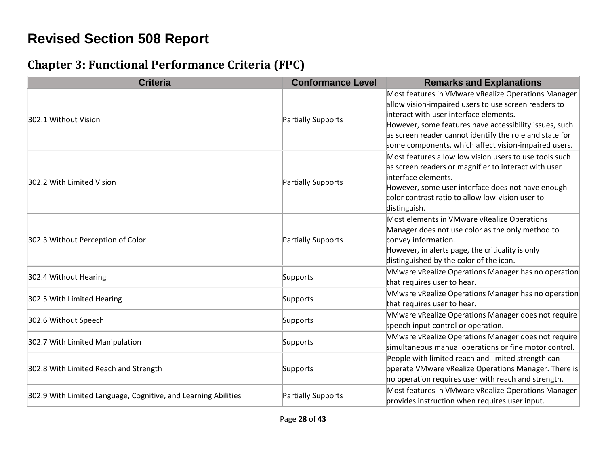# **Revised Section 508 Report**

#### **Chapter 3: Functional Performance Criteria (FPC)**

| <b>Criteria</b>                                                | <b>Conformance Level</b> | <b>Remarks and Explanations</b>                                                                                                                                                                                                                                                                                                    |
|----------------------------------------------------------------|--------------------------|------------------------------------------------------------------------------------------------------------------------------------------------------------------------------------------------------------------------------------------------------------------------------------------------------------------------------------|
| 302.1 Without Vision                                           | Partially Supports       | Most features in VMware vRealize Operations Manager<br>allow vision-impaired users to use screen readers to<br>interact with user interface elements.<br>However, some features have accessibility issues, such<br>as screen reader cannot identify the role and state for<br>some components, which affect vision-impaired users. |
| 302.2 With Limited Vision                                      | Partially Supports       | Most features allow low vision users to use tools such<br>as screen readers or magnifier to interact with user<br>interface elements.<br>However, some user interface does not have enough<br>color contrast ratio to allow low-vision user to<br>distinguish.                                                                     |
| 302.3 Without Perception of Color                              | Partially Supports       | Most elements in VMware vRealize Operations<br>Manager does not use color as the only method to<br>convey information.<br>However, in alerts page, the criticality is only<br>distinguished by the color of the icon.                                                                                                              |
| 302.4 Without Hearing                                          | Supports                 | VMware vRealize Operations Manager has no operation<br>that requires user to hear.                                                                                                                                                                                                                                                 |
| 302.5 With Limited Hearing                                     | Supports                 | VMware vRealize Operations Manager has no operation<br>that requires user to hear.                                                                                                                                                                                                                                                 |
| 302.6 Without Speech                                           | Supports                 | VMware vRealize Operations Manager does not require<br>speech input control or operation.                                                                                                                                                                                                                                          |
| 302.7 With Limited Manipulation                                | Supports                 | VMware vRealize Operations Manager does not require<br>simultaneous manual operations or fine motor control.                                                                                                                                                                                                                       |
| 302.8 With Limited Reach and Strength                          | Supports                 | People with limited reach and limited strength can<br>operate VMware vRealize Operations Manager. There is<br>ho operation requires user with reach and strength.                                                                                                                                                                  |
| 302.9 With Limited Language, Cognitive, and Learning Abilities | Partially Supports       | Most features in VMware vRealize Operations Manager<br>provides instruction when requires user input.                                                                                                                                                                                                                              |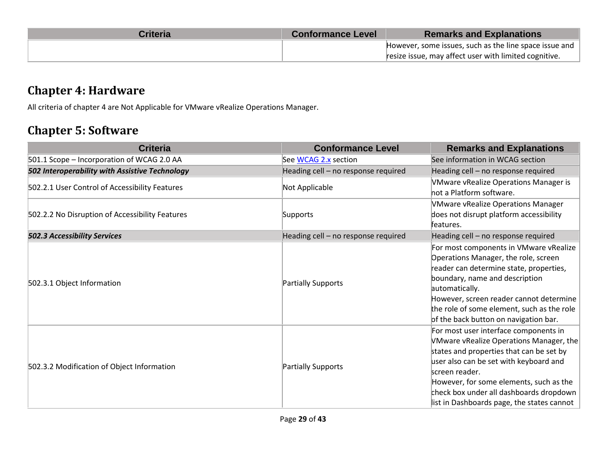| <b>Criteria</b> | <b>Conformance Level</b> | <b>Remarks and Explanations</b>                        |
|-----------------|--------------------------|--------------------------------------------------------|
|                 |                          | However, some issues, such as the line space issue and |
|                 |                          | resize issue, may affect user with limited cognitive.  |

#### **Chapter 4: Hardware**

All criteria of chapter 4 are Not Applicable for VMware vRealize Operations Manager.

#### **Chapter 5: Software**

| <b>Criteria</b>                                 | <b>Conformance Level</b>            | <b>Remarks and Explanations</b>                                                                                                                                                                                                                                                                                              |
|-------------------------------------------------|-------------------------------------|------------------------------------------------------------------------------------------------------------------------------------------------------------------------------------------------------------------------------------------------------------------------------------------------------------------------------|
| 501.1 Scope - Incorporation of WCAG 2.0 AA      | See WCAG 2.x section                | See information in WCAG section                                                                                                                                                                                                                                                                                              |
| 502 Interoperability with Assistive Technology  | Heading cell - no response required | Heading cell - no response required                                                                                                                                                                                                                                                                                          |
| 502.2.1 User Control of Accessibility Features  | Not Applicable                      | <b>VMware vRealize Operations Manager is</b><br>not a Platform software.                                                                                                                                                                                                                                                     |
| 502.2.2 No Disruption of Accessibility Features | Supports                            | <b>VMware vRealize Operations Manager</b><br>does not disrupt platform accessibility<br>features.                                                                                                                                                                                                                            |
| <b>502.3 Accessibility Services</b>             | Heading cell - no response required | Heading cell - no response required                                                                                                                                                                                                                                                                                          |
| 502.3.1 Object Information                      | <b>Partially Supports</b>           | For most components in VMware vRealize<br>Operations Manager, the role, screen<br>reader can determine state, properties,<br>boundary, name and description<br>automatically.<br>However, screen reader cannot determine<br>the role of some element, such as the role<br>of the back button on navigation bar.              |
| 502.3.2 Modification of Object Information      | <b>Partially Supports</b>           | For most user interface components in<br>VMware vRealize Operations Manager, the<br>states and properties that can be set by<br>user also can be set with keyboard and<br>screen reader.<br>However, for some elements, such as the<br>check box under all dashboards dropdown<br>list in Dashboards page, the states cannot |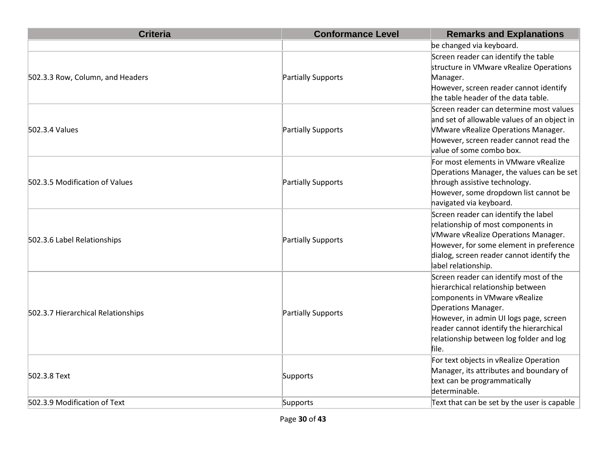| <b>Criteria</b>                    | <b>Conformance Level</b> | <b>Remarks and Explanations</b>                                                                                                                                                                                                                                                     |
|------------------------------------|--------------------------|-------------------------------------------------------------------------------------------------------------------------------------------------------------------------------------------------------------------------------------------------------------------------------------|
|                                    |                          | be changed via keyboard.                                                                                                                                                                                                                                                            |
| 502.3.3 Row, Column, and Headers   | Partially Supports       | Screen reader can identify the table<br>structure in VMware vRealize Operations<br>Manager.<br>However, screen reader cannot identify<br>the table header of the data table.                                                                                                        |
| 502.3.4 Values                     | Partially Supports       | Screen reader can determine most values<br>and set of allowable values of an object in<br>VMware vRealize Operations Manager.<br>However, screen reader cannot read the<br>value of some combo box.                                                                                 |
| 502.3.5 Modification of Values     | Partially Supports       | For most elements in VMware vRealize<br>Operations Manager, the values can be set<br>through assistive technology.<br>However, some dropdown list cannot be<br>navigated via keyboard.                                                                                              |
| 502.3.6 Label Relationships        | Partially Supports       | Screen reader can identify the label<br>relationship of most components in<br>VMware vRealize Operations Manager.<br>However, for some element in preference<br>dialog, screen reader cannot identify the<br>label relationship.                                                    |
| 502.3.7 Hierarchical Relationships | Partially Supports       | Screen reader can identify most of the<br>hierarchical relationship between<br>components in VMware vRealize<br><b>Operations Manager.</b><br>However, in admin UI logs page, screen<br>reader cannot identify the hierarchical<br>relationship between log folder and log<br>file. |
| 502.3.8 Text                       | Supports                 | For text objects in vRealize Operation<br>Manager, its attributes and boundary of<br>text can be programmatically<br>determinable.                                                                                                                                                  |
| 502.3.9 Modification of Text       | Supports                 | Text that can be set by the user is capable                                                                                                                                                                                                                                         |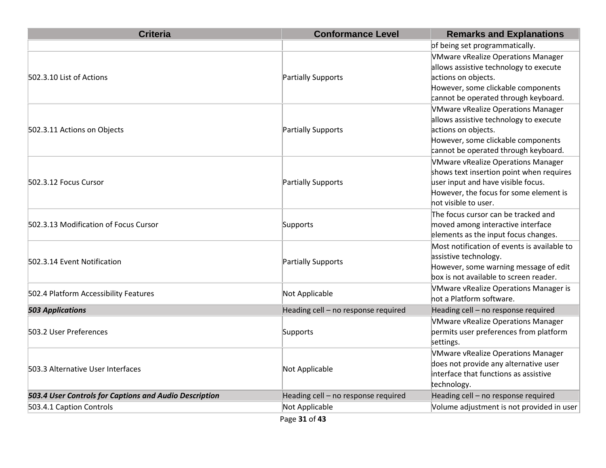| <b>Criteria</b>                                        | <b>Conformance Level</b>            | <b>Remarks and Explanations</b>              |
|--------------------------------------------------------|-------------------------------------|----------------------------------------------|
|                                                        |                                     | of being set programmatically.               |
|                                                        |                                     | <b>VMware vRealize Operations Manager</b>    |
|                                                        |                                     | allows assistive technology to execute       |
| 502.3.10 List of Actions                               | Partially Supports                  | actions on objects.                          |
|                                                        |                                     | However, some clickable components           |
|                                                        |                                     | cannot be operated through keyboard.         |
|                                                        |                                     | <b>VMware vRealize Operations Manager</b>    |
|                                                        |                                     | allows assistive technology to execute       |
| 502.3.11 Actions on Objects                            | Partially Supports                  | actions on objects.                          |
|                                                        |                                     | However, some clickable components           |
|                                                        |                                     | cannot be operated through keyboard.         |
|                                                        |                                     | VMware vRealize Operations Manager           |
|                                                        |                                     | shows text insertion point when requires     |
| 502.3.12 Focus Cursor                                  | Partially Supports                  | user input and have visible focus.           |
|                                                        |                                     | However, the focus for some element is       |
|                                                        |                                     | hot visible to user.                         |
|                                                        |                                     | The focus cursor can be tracked and          |
| 502.3.13 Modification of Focus Cursor                  | Supports                            | moved among interactive interface            |
|                                                        |                                     | elements as the input focus changes.         |
|                                                        |                                     | Most notification of events is available to  |
| 502.3.14 Event Notification                            | Partially Supports                  | assistive technology.                        |
|                                                        |                                     | However, some warning message of edit        |
|                                                        |                                     | box is not available to screen reader.       |
| 502.4 Platform Accessibility Features                  | Not Applicable                      | <b>VMware vRealize Operations Manager is</b> |
|                                                        |                                     | hot a Platform software.                     |
| <b>503 Applications</b>                                | Heading cell - no response required | Heading cell - no response required          |
|                                                        |                                     | <b>VMware vRealize Operations Manager</b>    |
| 503.2 User Preferences                                 | Supports                            | permits user preferences from platform       |
|                                                        |                                     | settings.                                    |
|                                                        |                                     | <b>VMware vRealize Operations Manager</b>    |
| 503.3 Alternative User Interfaces                      | Not Applicable                      | does not provide any alternative user        |
|                                                        |                                     | interface that functions as assistive        |
|                                                        |                                     | technology.                                  |
| 503.4 User Controls for Captions and Audio Description | Heading cell - no response required | Heading cell - no response required          |
| 503.4.1 Caption Controls                               | Not Applicable                      | Volume adjustment is not provided in user    |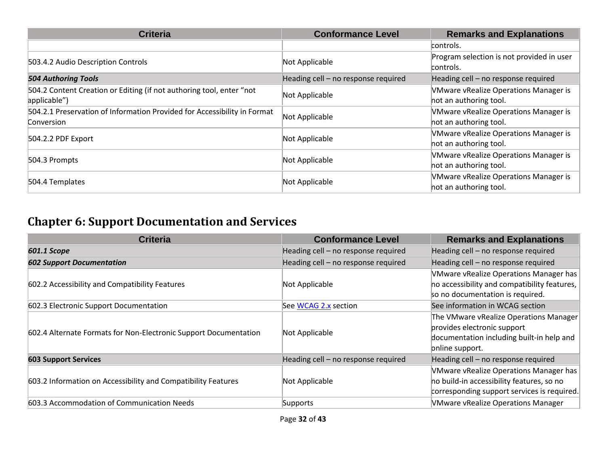| <b>Criteria</b>                                                                        | <b>Conformance Level</b>            | <b>Remarks and Explanations</b>                                        |
|----------------------------------------------------------------------------------------|-------------------------------------|------------------------------------------------------------------------|
|                                                                                        |                                     | controls.                                                              |
| 503.4.2 Audio Description Controls                                                     | Not Applicable                      | Program selection is not provided in user<br>controls.                 |
| <b>504 Authoring Tools</b>                                                             | Heading cell - no response required | Heading cell - no response required                                    |
| 504.2 Content Creation or Editing (if not authoring tool, enter "not<br>applicable")   | Not Applicable                      | <b>VMware vRealize Operations Manager is</b><br>hot an authoring tool. |
| 504.2.1 Preservation of Information Provided for Accessibility in Format<br>Conversion | Not Applicable                      | <b>VMware vRealize Operations Manager is</b><br>hot an authoring tool. |
| 504.2.2 PDF Export                                                                     | Not Applicable                      | <b>VMware vRealize Operations Manager is</b><br>hot an authoring tool. |
| 504.3 Prompts                                                                          | Not Applicable                      | <b>VMware vRealize Operations Manager is</b><br>hot an authoring tool. |
| 504.4 Templates                                                                        | Not Applicable                      | <b>VMware vRealize Operations Manager is</b><br>hot an authoring tool. |

# **Chapter 6: Support Documentation and Services**

| <b>Criteria</b>                                                  | <b>Conformance Level</b>            | <b>Remarks and Explanations</b>                                                                                                       |
|------------------------------------------------------------------|-------------------------------------|---------------------------------------------------------------------------------------------------------------------------------------|
| 601.1 Scope                                                      | Heading cell - no response required | Heading cell - no response required                                                                                                   |
| <b>602 Support Documentation</b>                                 | Heading cell - no response required | Heading cell - no response required                                                                                                   |
| 602.2 Accessibility and Compatibility Features                   | Not Applicable                      | VMware vRealize Operations Manager has<br>ho accessibility and compatibility features,<br>so no documentation is required.            |
| 602.3 Electronic Support Documentation                           | See WCAG 2.x section                | See information in WCAG section                                                                                                       |
| 602.4 Alternate Formats for Non-Electronic Support Documentation | Not Applicable                      | The VMware vRealize Operations Manager<br>provides electronic support<br>documentation including built-in help and<br>pnline support. |
| <b>603 Support Services</b>                                      | Heading cell - no response required | Heading cell - no response required                                                                                                   |
| 603.2 Information on Accessibility and Compatibility Features    | Not Applicable                      | VMware vRealize Operations Manager has<br>ho build-in accessibility features, so no<br>corresponding support services is required.    |
| 603.3 Accommodation of Communication Needs                       | Supports                            | <b>VMware vRealize Operations Manager</b>                                                                                             |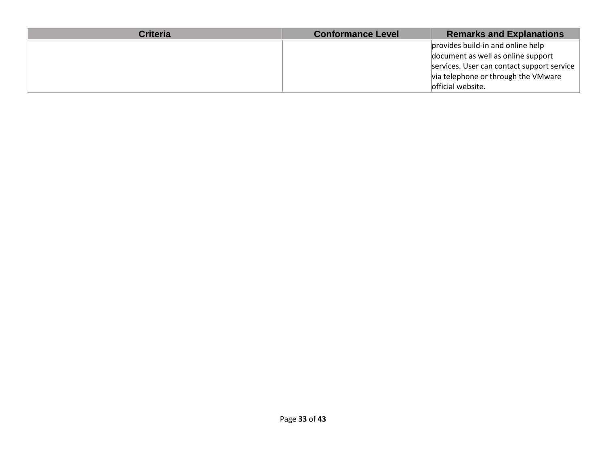| <b>Criteria</b> | <b>Conformance Level</b> | <b>Remarks and Explanations</b>            |
|-----------------|--------------------------|--------------------------------------------|
|                 |                          | provides build-in and online help          |
|                 |                          | document as well as online support         |
|                 |                          | services. User can contact support service |
|                 |                          | via telephone or through the VMware        |
|                 |                          | official website.                          |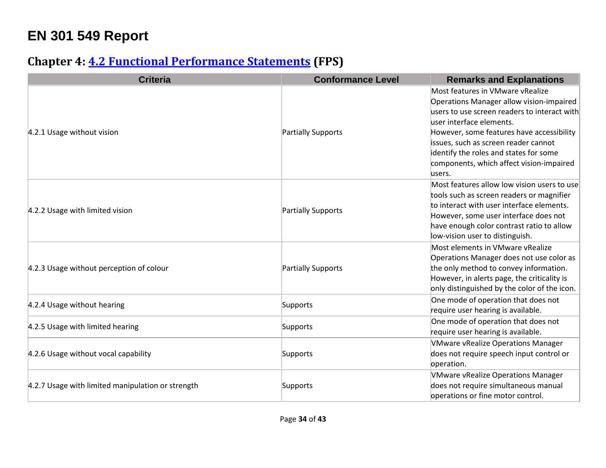# **EN 301 549 Report**

### **Chapter 4: [4.2 Functional Performance Statements](http://www.etsi.org/deliver/etsi_en/301500_301599/301549/01.01.02_60/en_301549v010102p.pdf#page=22) (FPS)**

| <b>Criteria</b>                                   | <b>Conformance Level</b> | <b>Remarks and Explanations</b>                                                          |
|---------------------------------------------------|--------------------------|------------------------------------------------------------------------------------------|
|                                                   |                          | Most features in VMware vRealize                                                         |
|                                                   |                          | Operations Manager allow vision-impaired<br>users to use screen readers to interact with |
|                                                   |                          | user interface elements.                                                                 |
| 4.2.1 Usage without vision                        | Partially Supports       | However, some features have accessibility                                                |
|                                                   |                          | issues, such as screen reader cannot                                                     |
|                                                   |                          | identify the roles and states for some                                                   |
|                                                   |                          | components, which affect vision-impaired                                                 |
|                                                   |                          | users.                                                                                   |
|                                                   |                          | Most features allow low vision users to use                                              |
|                                                   |                          | tools such as screen readers or magnifier                                                |
|                                                   |                          | to interact with user interface elements.                                                |
| 4.2.2 Usage with limited vision                   | Partially Supports       | However, some user interface does not                                                    |
|                                                   |                          | have enough color contrast ratio to allow                                                |
|                                                   |                          | low-vision user to distinguish.                                                          |
|                                                   |                          | Most elements in VMware vRealize                                                         |
|                                                   |                          | Operations Manager does not use color as                                                 |
| 4.2.3 Usage without perception of colour          | Partially Supports       | the only method to convey information.                                                   |
|                                                   |                          | However, in alerts page, the criticality is                                              |
|                                                   |                          | only distinguished by the color of the icon.                                             |
|                                                   |                          | One mode of operation that does not                                                      |
| 4.2.4 Usage without hearing                       | Supports                 | require user hearing is available.                                                       |
|                                                   |                          | One mode of operation that does not                                                      |
| 4.2.5 Usage with limited hearing                  | Supports                 | require user hearing is available.                                                       |
| 4.2.6 Usage without vocal capability              |                          | <b>VMware vRealize Operations Manager</b>                                                |
|                                                   | Supports                 | does not require speech input control or                                                 |
|                                                   |                          | operation.                                                                               |
| 4.2.7 Usage with limited manipulation or strength |                          | <b>VMware vRealize Operations Manager</b>                                                |
|                                                   | Supports                 | does not require simultaneous manual                                                     |
|                                                   |                          | operations or fine motor control.                                                        |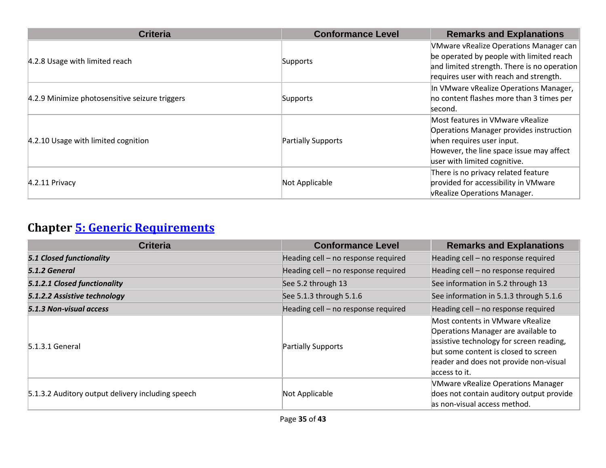| <b>Criteria</b>                                | <b>Conformance Level</b> | <b>Remarks and Explanations</b>                                                                                                                                                             |
|------------------------------------------------|--------------------------|---------------------------------------------------------------------------------------------------------------------------------------------------------------------------------------------|
| 4.2.8 Usage with limited reach                 | Supports                 | <b>VMware vRealize Operations Manager can</b><br>be operated by people with limited reach<br>and limited strength. There is no operation<br>requires user with reach and strength.          |
| 4.2.9 Minimize photosensitive seizure triggers | Supports                 | In VMware vRealize Operations Manager,<br>no content flashes more than 3 times per<br>lsecond.                                                                                              |
| 4.2.10 Usage with limited cognition            | Partially Supports       | Most features in VMware vRealize<br><b>Operations Manager provides instruction</b><br>when requires user input.<br>However, the line space issue may affect<br>user with limited cognitive. |
| $4.2.11$ Privacy                               | Not Applicable           | There is no privacy related feature<br>provided for accessibility in VMware<br><b>VRealize Operations Manager.</b>                                                                          |

# **Chapter [5: Generic Requirements](http://www.etsi.org/deliver/etsi_en/301500_301599/301549/01.01.02_60/en_301549v010102p.pdf#page=23)**

| <b>Criteria</b>                                   | <b>Conformance Level</b>            | <b>Remarks and Explanations</b>                                                                                                                                                                                        |
|---------------------------------------------------|-------------------------------------|------------------------------------------------------------------------------------------------------------------------------------------------------------------------------------------------------------------------|
| <b>5.1 Closed functionality</b>                   | Heading cell - no response required | Heading cell - no response required                                                                                                                                                                                    |
| 5.1.2 General                                     | Heading cell - no response required | Heading cell - no response required                                                                                                                                                                                    |
| 5.1.2.1 Closed functionality                      | See 5.2 through 13                  | See information in 5.2 through 13                                                                                                                                                                                      |
| 5.1.2.2 Assistive technology                      | See 5.1.3 through 5.1.6             | See information in 5.1.3 through 5.1.6                                                                                                                                                                                 |
| 5.1.3 Non-visual access                           | Heading cell - no response required | Heading cell - no response required                                                                                                                                                                                    |
| 5.1.3.1 General                                   | Partially Supports                  | Most contents in VMware vRealize<br>Operations Manager are available to<br>assistive technology for screen reading,<br>but some content is closed to screen<br>reader and does not provide non-visual<br>access to it. |
| 5.1.3.2 Auditory output delivery including speech | Not Applicable                      | <b>VMware vRealize Operations Manager</b><br>does not contain auditory output provide<br>as non-visual access method.                                                                                                  |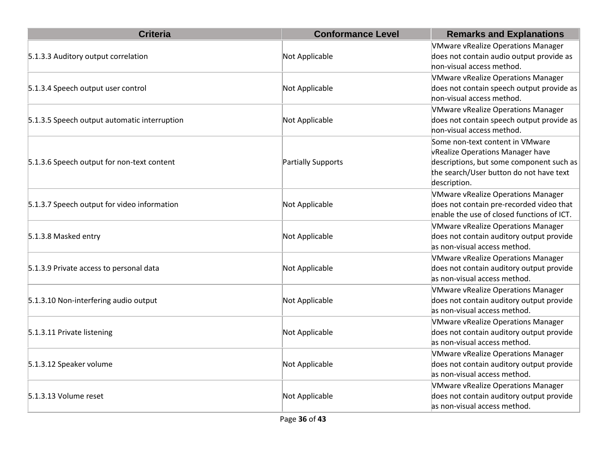| <b>Criteria</b>                              | <b>Conformance Level</b>  | <b>Remarks and Explanations</b>            |
|----------------------------------------------|---------------------------|--------------------------------------------|
|                                              |                           | <b>VMware vRealize Operations Manager</b>  |
| 5.1.3.3 Auditory output correlation          | Not Applicable            | does not contain audio output provide as   |
|                                              |                           | non-visual access method.                  |
|                                              |                           | <b>VMware vRealize Operations Manager</b>  |
| 5.1.3.4 Speech output user control           | Not Applicable            | does not contain speech output provide as  |
|                                              |                           | non-visual access method.                  |
|                                              |                           | <b>VMware vRealize Operations Manager</b>  |
| 5.1.3.5 Speech output automatic interruption | Not Applicable            | does not contain speech output provide as  |
|                                              |                           | hon-visual access method.                  |
|                                              |                           | Some non-text content in VMware            |
|                                              |                           | vRealize Operations Manager have           |
| 5.1.3.6 Speech output for non-text content   | <b>Partially Supports</b> | descriptions, but some component such as   |
|                                              |                           | the search/User button do not have text    |
|                                              |                           | description.                               |
|                                              |                           | <b>VMware vRealize Operations Manager</b>  |
| 5.1.3.7 Speech output for video information  | Not Applicable            | does not contain pre-recorded video that   |
|                                              |                           | enable the use of closed functions of ICT. |
|                                              |                           | <b>VMware vRealize Operations Manager</b>  |
| 5.1.3.8 Masked entry                         | Not Applicable            | does not contain auditory output provide   |
|                                              |                           | as non-visual access method.               |
|                                              |                           | <b>VMware vRealize Operations Manager</b>  |
| 5.1.3.9 Private access to personal data      | Not Applicable            | does not contain auditory output provide   |
|                                              |                           | as non-visual access method.               |
|                                              |                           | <b>VMware vRealize Operations Manager</b>  |
| 5.1.3.10 Non-interfering audio output        | Not Applicable            | does not contain auditory output provide   |
|                                              |                           | as non-visual access method.               |
|                                              |                           | <b>VMware vRealize Operations Manager</b>  |
| 5.1.3.11 Private listening                   | Not Applicable            | does not contain auditory output provide   |
|                                              |                           | as non-visual access method.               |
|                                              |                           | <b>VMware vRealize Operations Manager</b>  |
| 5.1.3.12 Speaker volume                      | Not Applicable            | does not contain auditory output provide   |
|                                              |                           | as non-visual access method.               |
|                                              |                           | <b>VMware vRealize Operations Manager</b>  |
| 5.1.3.13 Volume reset                        | Not Applicable            | does not contain auditory output provide   |
|                                              |                           | as non-visual access method.               |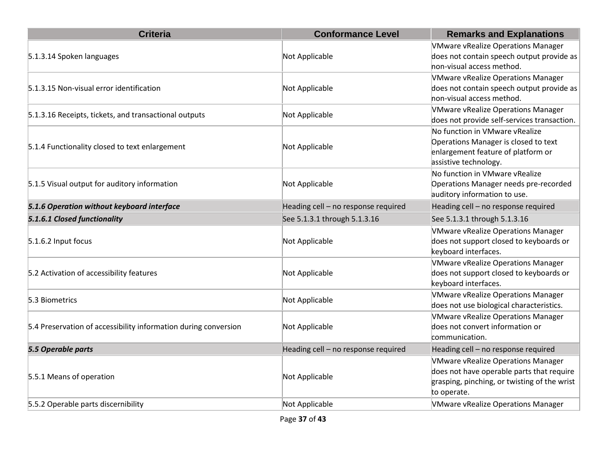| <b>Criteria</b>                                                 | <b>Conformance Level</b>            | <b>Remarks and Explanations</b>                                                                                                                       |
|-----------------------------------------------------------------|-------------------------------------|-------------------------------------------------------------------------------------------------------------------------------------------------------|
| 5.1.3.14 Spoken languages                                       | Not Applicable                      | <b>VMware vRealize Operations Manager</b><br>does not contain speech output provide as<br>non-visual access method.                                   |
| 5.1.3.15 Non-visual error identification                        | Not Applicable                      | <b>VMware vRealize Operations Manager</b><br>does not contain speech output provide as<br>non-visual access method.                                   |
| 5.1.3.16 Receipts, tickets, and transactional outputs           | Not Applicable                      | <b>VMware vRealize Operations Manager</b><br>does not provide self-services transaction.                                                              |
| 5.1.4 Functionality closed to text enlargement                  | Not Applicable                      | No function in VMware vRealize<br>Operations Manager is closed to text<br>enlargement feature of platform or<br>assistive technology.                 |
| 5.1.5 Visual output for auditory information                    | Not Applicable                      | No function in VMware vRealize<br>Operations Manager needs pre-recorded<br>auditory information to use.                                               |
| 5.1.6 Operation without keyboard interface                      | Heading cell - no response required | Heading cell - no response required                                                                                                                   |
| 5.1.6.1 Closed functionality                                    | See 5.1.3.1 through 5.1.3.16        | See 5.1.3.1 through 5.1.3.16                                                                                                                          |
| 5.1.6.2 Input focus                                             | Not Applicable                      | <b>VMware vRealize Operations Manager</b><br>does not support closed to keyboards or<br>keyboard interfaces.                                          |
| 5.2 Activation of accessibility features                        | Not Applicable                      | <b>VMware vRealize Operations Manager</b><br>does not support closed to keyboards or<br>keyboard interfaces.                                          |
| 5.3 Biometrics                                                  | Not Applicable                      | <b>VMware vRealize Operations Manager</b><br>does not use biological characteristics.                                                                 |
| 5.4 Preservation of accessibility information during conversion | Not Applicable                      | <b>VMware vRealize Operations Manager</b><br>does not convert information or<br>communication.                                                        |
| 5.5 Operable parts                                              | Heading cell - no response required | Heading cell - no response required                                                                                                                   |
| 5.5.1 Means of operation                                        | Not Applicable                      | <b>VMware vRealize Operations Manager</b><br>does not have operable parts that require<br>grasping, pinching, or twisting of the wrist<br>to operate. |
| 5.5.2 Operable parts discernibility                             | Not Applicable                      | <b>VMware vRealize Operations Manager</b>                                                                                                             |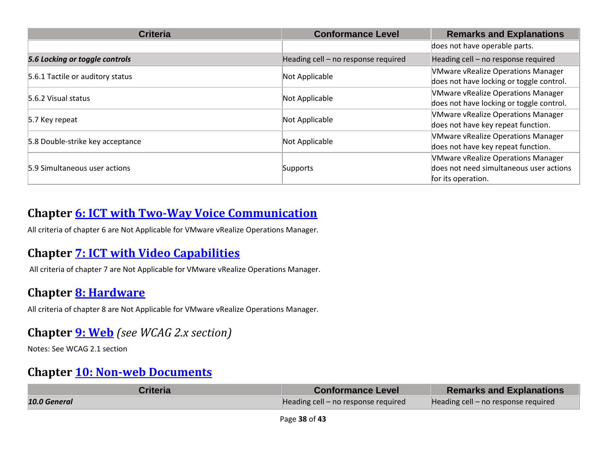| <b>Criteria</b>                  | <b>Conformance Level</b>            | <b>Remarks and Explanations</b>           |
|----------------------------------|-------------------------------------|-------------------------------------------|
|                                  |                                     | does not have operable parts.             |
| 5.6 Locking or toggle controls   | Heading cell - no response required | Heading cell - no response required       |
| 5.6.1 Tactile or auditory status | Not Applicable                      | <b>VMware vRealize Operations Manager</b> |
|                                  |                                     | does not have locking or toggle control.  |
| 5.6.2 Visual status              | Not Applicable                      | <b>VMware vRealize Operations Manager</b> |
|                                  |                                     | does not have locking or toggle control.  |
| 5.7 Key repeat                   | Not Applicable                      | <b>VMware vRealize Operations Manager</b> |
|                                  |                                     | does not have key repeat function.        |
| 5.8 Double-strike key acceptance | Not Applicable                      | <b>VMware vRealize Operations Manager</b> |
|                                  |                                     | does not have key repeat function.        |
| 5.9 Simultaneous user actions    |                                     | <b>VMware vRealize Operations Manager</b> |
|                                  | Supports                            | does not need simultaneous user actions   |
|                                  |                                     | for its operation.                        |

#### **Chapter [6: ICT with Two-Way Voice Communication](http://www.etsi.org/deliver/etsi_en/301500_301599/301549/01.01.02_60/en_301549v010102p.pdf#page=28)**

All criteria of chapter 6 are Not Applicable for VMware vRealize Operations Manager.

#### **Chapter [7: ICT with Video Capabilities](http://www.etsi.org/deliver/etsi_en/301500_301599/301549/01.01.02_60/en_301549v010102p.pdf#page=31)**

All criteria of chapter 7 are Not Applicable for VMware vRealize Operations Manager.

#### **Chapter [8: Hardware](http://www.etsi.org/deliver/etsi_en/301500_301599/301549/01.01.02_60/en_301549v010102p.pdf#page=32)**

All criteria of chapter 8 are Not Applicable for VMware vRealize Operations Manager.

#### **Chapter [9: Web](http://www.etsi.org/deliver/etsi_en/301500_301599/301549/01.01.02_60/en_301549v010102p.pdf#page=39)** *(see WCAG 2.x section)*

Notes: See WCAG 2.1 section

#### **Chapter [10: Non-web Documents](http://www.etsi.org/deliver/etsi_en/301500_301599/301549/01.01.02_60/en_301549v010102p.pdf#page=43)**

| Criteria     | <b>Conformance Level</b>            | <b>Remarks and Explanations</b>     |
|--------------|-------------------------------------|-------------------------------------|
| 10.0 General | Heading cell – no response required | Heading cell - no response required |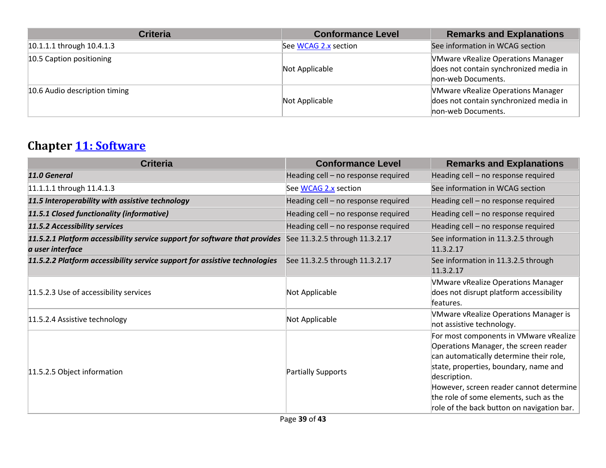| <b>Criteria</b>               | <b>Conformance Level</b> | <b>Remarks and Explanations</b>                                                                           |
|-------------------------------|--------------------------|-----------------------------------------------------------------------------------------------------------|
| 10.1.1.1 through 10.4.1.3     | See WCAG 2.x section     | See information in WCAG section                                                                           |
| 10.5 Caption positioning      | Not Applicable           | <b>VMware vRealize Operations Manager</b><br>does not contain synchronized media in<br>non-web Documents. |
| 10.6 Audio description timing | Not Applicable           | <b>VMware vRealize Operations Manager</b><br>does not contain synchronized media in<br>non-web Documents. |

# **Chapter [11: Software](http://www.etsi.org/deliver/etsi_en/301500_301599/301549/01.01.02_60/en_301549v010102p.pdf#page=53)**

| <b>Criteria</b>                                                                                | <b>Conformance Level</b>            | <b>Remarks and Explanations</b>                                                                                                                                                                                                                                                                                        |
|------------------------------------------------------------------------------------------------|-------------------------------------|------------------------------------------------------------------------------------------------------------------------------------------------------------------------------------------------------------------------------------------------------------------------------------------------------------------------|
| 11.0 General                                                                                   | Heading cell - no response required | Heading cell - no response required                                                                                                                                                                                                                                                                                    |
| 11.1.1.1 through 11.4.1.3                                                                      | See WCAG 2.x section                | See information in WCAG section                                                                                                                                                                                                                                                                                        |
| 11.5 Interoperability with assistive technology                                                | Heading cell - no response required | Heading cell - no response required                                                                                                                                                                                                                                                                                    |
| 11.5.1 Closed functionality (informative)                                                      | Heading cell - no response required | Heading cell - no response required                                                                                                                                                                                                                                                                                    |
| 11.5.2 Accessibility services                                                                  | Heading cell - no response required | Heading cell - no response required                                                                                                                                                                                                                                                                                    |
| 11.5.2.1 Platform accessibility service support for software that provides<br>a user interface | See 11.3.2.5 through 11.3.2.17      | See information in 11.3.2.5 through<br>11.3.2.17                                                                                                                                                                                                                                                                       |
| 11.5.2.2 Platform accessibility service support for assistive technologies                     | See 11.3.2.5 through 11.3.2.17      | See information in 11.3.2.5 through<br>11.3.2.17                                                                                                                                                                                                                                                                       |
| 11.5.2.3 Use of accessibility services                                                         | Not Applicable                      | <b>VMware vRealize Operations Manager</b><br>does not disrupt platform accessibility<br>features.                                                                                                                                                                                                                      |
| 11.5.2.4 Assistive technology                                                                  | Not Applicable                      | <b>VMware vRealize Operations Manager is</b><br>not assistive technology.                                                                                                                                                                                                                                              |
| 11.5.2.5 Object information                                                                    | Partially Supports                  | For most components in VMware vRealize<br>Operations Manager, the screen reader<br>can automatically determine their role,<br>state, properties, boundary, name and<br>description.<br>However, screen reader cannot determine<br>the role of some elements, such as the<br>role of the back button on navigation bar. |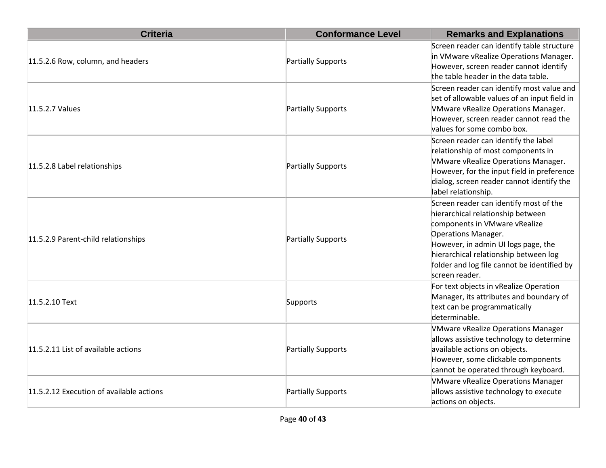| <b>Criteria</b>                          | <b>Conformance Level</b> | <b>Remarks and Explanations</b>                                                                                                                                                                                                                                                      |
|------------------------------------------|--------------------------|--------------------------------------------------------------------------------------------------------------------------------------------------------------------------------------------------------------------------------------------------------------------------------------|
| 11.5.2.6 Row, column, and headers        | Partially Supports       | Screen reader can identify table structure<br>in VMware vRealize Operations Manager.<br>However, screen reader cannot identify<br>the table header in the data table.                                                                                                                |
| 11.5.2.7 Values                          | Partially Supports       | Screen reader can identify most value and<br>set of allowable values of an input field in<br>VMware vRealize Operations Manager.<br>However, screen reader cannot read the<br>values for some combo box.                                                                             |
| 11.5.2.8 Label relationships             | Partially Supports       | Screen reader can identify the label<br>relationship of most components in<br>VMware vRealize Operations Manager.<br>However, for the input field in preference<br>dialog, screen reader cannot identify the<br>label relationship.                                                  |
| 11.5.2.9 Parent-child relationships      | Partially Supports       | Screen reader can identify most of the<br>hierarchical relationship between<br>components in VMware vRealize<br>Operations Manager.<br>However, in admin UI logs page, the<br>hierarchical relationship between log<br>folder and log file cannot be identified by<br>screen reader. |
| 11.5.2.10 Text                           | Supports                 | For text objects in vRealize Operation<br>Manager, its attributes and boundary of<br>text can be programmatically<br>determinable.                                                                                                                                                   |
| 11.5.2.11 List of available actions      | Partially Supports       | <b>VMware vRealize Operations Manager</b><br>allows assistive technology to determine<br>available actions on objects.<br>However, some clickable components<br>cannot be operated through keyboard.                                                                                 |
| 11.5.2.12 Execution of available actions | Partially Supports       | <b>VMware vRealize Operations Manager</b><br>allows assistive technology to execute<br>actions on objects.                                                                                                                                                                           |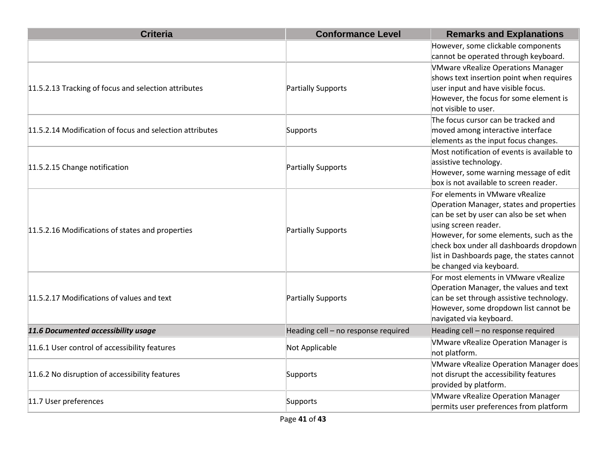| <b>Criteria</b>                                          | <b>Conformance Level</b>            | <b>Remarks and Explanations</b>                                                                                                                                                                                                                                                                                |
|----------------------------------------------------------|-------------------------------------|----------------------------------------------------------------------------------------------------------------------------------------------------------------------------------------------------------------------------------------------------------------------------------------------------------------|
|                                                          |                                     | However, some clickable components<br>cannot be operated through keyboard.                                                                                                                                                                                                                                     |
| 11.5.2.13 Tracking of focus and selection attributes     | Partially Supports                  | <b>VMware vRealize Operations Manager</b><br>shows text insertion point when requires<br>user input and have visible focus.<br>However, the focus for some element is<br>not visible to user.                                                                                                                  |
| 11.5.2.14 Modification of focus and selection attributes | Supports                            | The focus cursor can be tracked and<br>moved among interactive interface<br>elements as the input focus changes.                                                                                                                                                                                               |
| 11.5.2.15 Change notification                            | Partially Supports                  | Most notification of events is available to<br>assistive technology.<br>However, some warning message of edit<br>box is not available to screen reader.                                                                                                                                                        |
| 11.5.2.16 Modifications of states and properties         | Partially Supports                  | For elements in VMware vRealize<br>Operation Manager, states and properties<br>can be set by user can also be set when<br>using screen reader.<br>However, for some elements, such as the<br>check box under all dashboards dropdown<br>list in Dashboards page, the states cannot<br>be changed via keyboard. |
| 11.5.2.17 Modifications of values and text               | Partially Supports                  | For most elements in VMware vRealize<br>Operation Manager, the values and text<br>can be set through assistive technology.<br>However, some dropdown list cannot be<br>navigated via keyboard.                                                                                                                 |
| 11.6 Documented accessibility usage                      | Heading cell - no response required | Heading cell - no response required                                                                                                                                                                                                                                                                            |
| 11.6.1 User control of accessibility features            | Not Applicable                      | <b>VMware vRealize Operation Manager is</b><br>not platform.                                                                                                                                                                                                                                                   |
| 11.6.2 No disruption of accessibility features           | Supports                            | <b>VMware vRealize Operation Manager does</b><br>not disrupt the accessibility features<br>provided by platform.                                                                                                                                                                                               |
| 11.7 User preferences                                    | Supports                            | <b>VMware vRealize Operation Manager</b><br>permits user preferences from platform                                                                                                                                                                                                                             |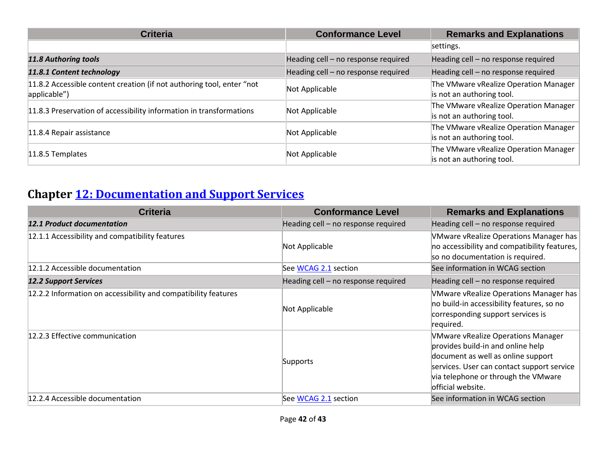| <b>Criteria</b>                                                                       | <b>Conformance Level</b>            | <b>Remarks and Explanations</b>                                    |
|---------------------------------------------------------------------------------------|-------------------------------------|--------------------------------------------------------------------|
|                                                                                       |                                     | settings.                                                          |
| 11.8 Authoring tools                                                                  | Heading cell - no response required | Heading cell - no response required                                |
| 11.8.1 Content technology                                                             | Heading cell - no response required | Heading cell - no response required                                |
| 11.8.2 Accessible content creation (if not authoring tool, enter "not<br>applicable") | Not Applicable                      | The VMware vRealize Operation Manager<br>is not an authoring tool. |
| 11.8.3 Preservation of accessibility information in transformations                   | Not Applicable                      | The VMware vRealize Operation Manager<br>is not an authoring tool. |
| 11.8.4 Repair assistance                                                              | Not Applicable                      | The VMware vRealize Operation Manager<br>is not an authoring tool. |
| 11.8.5 Templates                                                                      | Not Applicable                      | The VMware vRealize Operation Manager<br>is not an authoring tool. |

# **Chapter [12: Documentation and Support Services](http://www.etsi.org/deliver/etsi_en/301500_301599/301549/01.01.02_60/en_301549v010102p.pdf#page=73)**

| <b>Criteria</b>                                                | <b>Conformance Level</b>            | <b>Remarks and Explanations</b>                                                                                                                                                                                                |
|----------------------------------------------------------------|-------------------------------------|--------------------------------------------------------------------------------------------------------------------------------------------------------------------------------------------------------------------------------|
| <b>12.1 Product documentation</b>                              | Heading cell - no response required | Heading cell - no response required                                                                                                                                                                                            |
| 12.1.1 Accessibility and compatibility features                | Not Applicable                      | VMware vRealize Operations Manager has<br>no accessibility and compatibility features,<br>so no documentation is required.                                                                                                     |
| 12.1.2 Accessible documentation                                | See WCAG 2.1 section                | See information in WCAG section                                                                                                                                                                                                |
| <b>12.2 Support Services</b>                                   | Heading cell - no response required | Heading cell - no response required                                                                                                                                                                                            |
| 12.2.2 Information on accessibility and compatibility features | Not Applicable                      | VMware vRealize Operations Manager has<br>no build-in accessibility features, so no<br>corresponding support services is<br>required.                                                                                          |
| 12.2.3 Effective communication                                 | Supports                            | <b>VMware vRealize Operations Manager</b><br>provides build-in and online help<br>document as well as online support<br>services. User can contact support service<br>via telephone or through the VMware<br>official website. |
| 12.2.4 Accessible documentation                                | See WCAG 2.1 section                | See information in WCAG section                                                                                                                                                                                                |